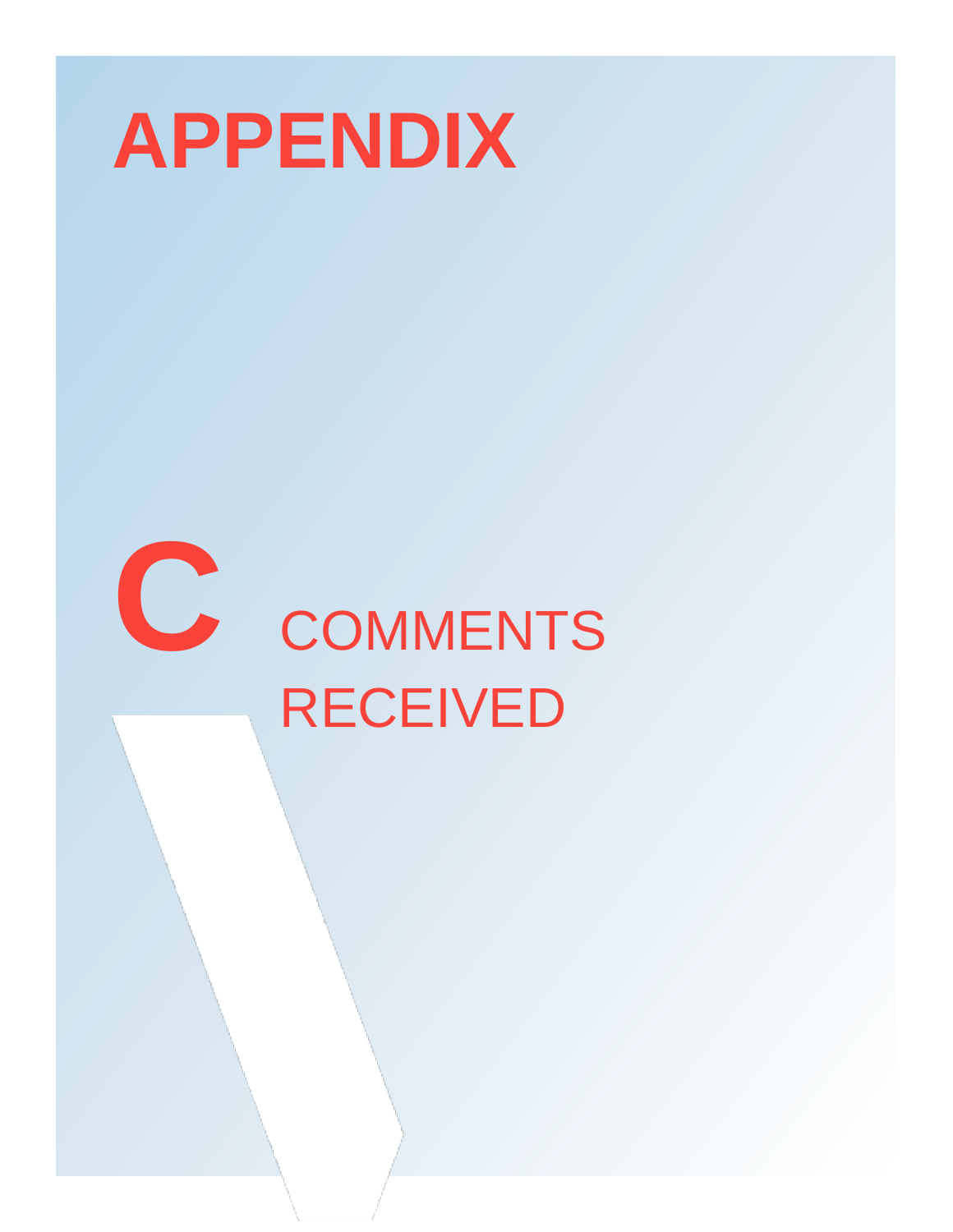

# **C** COMMENTS RECEIVED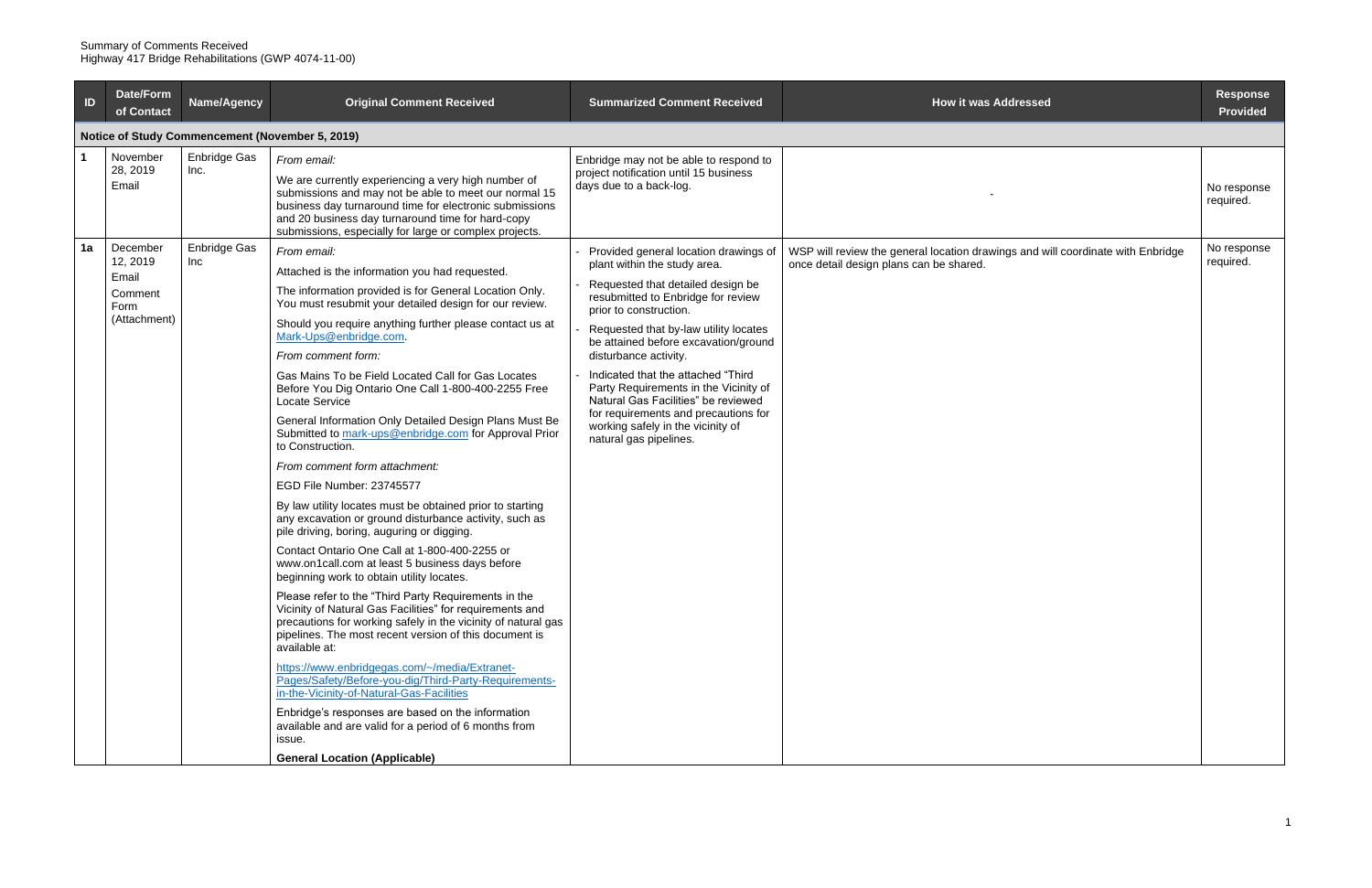| ID | <b>Date/Form</b><br>of Contact                                   | Name/Agency          | <b>Original Comment Received</b>                                                                                                                                                                                                                                                                                                                                                                                                                                                                                                                                                                                                                                                                                                                                                                                                                                                                                                                                                                                                                                                                                                                                                                                                                                                                                                                                                                                                                                                                      | <b>Summarized Comment Received</b>                                                                                                                                                                                                                                                                                                                                                                                                                                                                                | <b>How it was Addressed</b>                                                                                                | <b>Response</b><br><b>Provided</b> |
|----|------------------------------------------------------------------|----------------------|-------------------------------------------------------------------------------------------------------------------------------------------------------------------------------------------------------------------------------------------------------------------------------------------------------------------------------------------------------------------------------------------------------------------------------------------------------------------------------------------------------------------------------------------------------------------------------------------------------------------------------------------------------------------------------------------------------------------------------------------------------------------------------------------------------------------------------------------------------------------------------------------------------------------------------------------------------------------------------------------------------------------------------------------------------------------------------------------------------------------------------------------------------------------------------------------------------------------------------------------------------------------------------------------------------------------------------------------------------------------------------------------------------------------------------------------------------------------------------------------------------|-------------------------------------------------------------------------------------------------------------------------------------------------------------------------------------------------------------------------------------------------------------------------------------------------------------------------------------------------------------------------------------------------------------------------------------------------------------------------------------------------------------------|----------------------------------------------------------------------------------------------------------------------------|------------------------------------|
|    |                                                                  |                      | Notice of Study Commencement (November 5, 2019)                                                                                                                                                                                                                                                                                                                                                                                                                                                                                                                                                                                                                                                                                                                                                                                                                                                                                                                                                                                                                                                                                                                                                                                                                                                                                                                                                                                                                                                       |                                                                                                                                                                                                                                                                                                                                                                                                                                                                                                                   |                                                                                                                            |                                    |
|    | November<br>28, 2019<br>Email                                    | Enbridge Gas<br>Inc. | From email:<br>We are currently experiencing a very high number of<br>submissions and may not be able to meet our normal 15<br>business day turnaround time for electronic submissions<br>and 20 business day turnaround time for hard-copy<br>submissions, especially for large or complex projects.                                                                                                                                                                                                                                                                                                                                                                                                                                                                                                                                                                                                                                                                                                                                                                                                                                                                                                                                                                                                                                                                                                                                                                                                 | Enbridge may not be able to respond to<br>project notification until 15 business<br>days due to a back-log.                                                                                                                                                                                                                                                                                                                                                                                                       |                                                                                                                            | No response<br>required.           |
| 1a | December<br>12, 2019<br>Email<br>Comment<br>Form<br>(Attachment) | Enbridge Gas<br>Inc  | From email:<br>Attached is the information you had requested.<br>The information provided is for General Location Only.<br>You must resubmit your detailed design for our review.<br>Should you require anything further please contact us at<br>Mark-Ups@enbridge.com<br>From comment form:<br>Gas Mains To be Field Located Call for Gas Locates<br>Before You Dig Ontario One Call 1-800-400-2255 Free<br>Locate Service<br>General Information Only Detailed Design Plans Must Be<br>Submitted to mark-ups@enbridge.com for Approval Prior<br>to Construction.<br>From comment form attachment:<br>EGD File Number: 23745577<br>By law utility locates must be obtained prior to starting<br>any excavation or ground disturbance activity, such as<br>pile driving, boring, auguring or digging.<br>Contact Ontario One Call at 1-800-400-2255 or<br>www.on1call.com at least 5 business days before<br>beginning work to obtain utility locates.<br>Please refer to the "Third Party Requirements in the<br>Vicinity of Natural Gas Facilities" for requirements and<br>precautions for working safely in the vicinity of natural gas<br>pipelines. The most recent version of this document is<br>available at:<br>https://www.enbridgegas.com/~/media/Extranet-<br>Pages/Safety/Before-you-dig/Third-Party-Requirements-<br>in-the-Vicinity-of-Natural-Gas-Facilities<br>Enbridge's responses are based on the information<br>available and are valid for a period of 6 months from<br>issue. | Provided general location drawings of<br>plant within the study area.<br>Requested that detailed design be<br>resubmitted to Enbridge for review<br>prior to construction.<br>Requested that by-law utility locates<br>be attained before excavation/ground<br>disturbance activity.<br>Indicated that the attached "Third<br>Party Requirements in the Vicinity of<br>Natural Gas Facilities" be reviewed<br>for requirements and precautions for<br>working safely in the vicinity of<br>natural gas pipelines. | WSP will review the general location drawings and will coordinate with Enbridge<br>once detail design plans can be shared. | No response<br>required.           |
|    |                                                                  |                      | <b>General Location (Applicable)</b>                                                                                                                                                                                                                                                                                                                                                                                                                                                                                                                                                                                                                                                                                                                                                                                                                                                                                                                                                                                                                                                                                                                                                                                                                                                                                                                                                                                                                                                                  |                                                                                                                                                                                                                                                                                                                                                                                                                                                                                                                   |                                                                                                                            |                                    |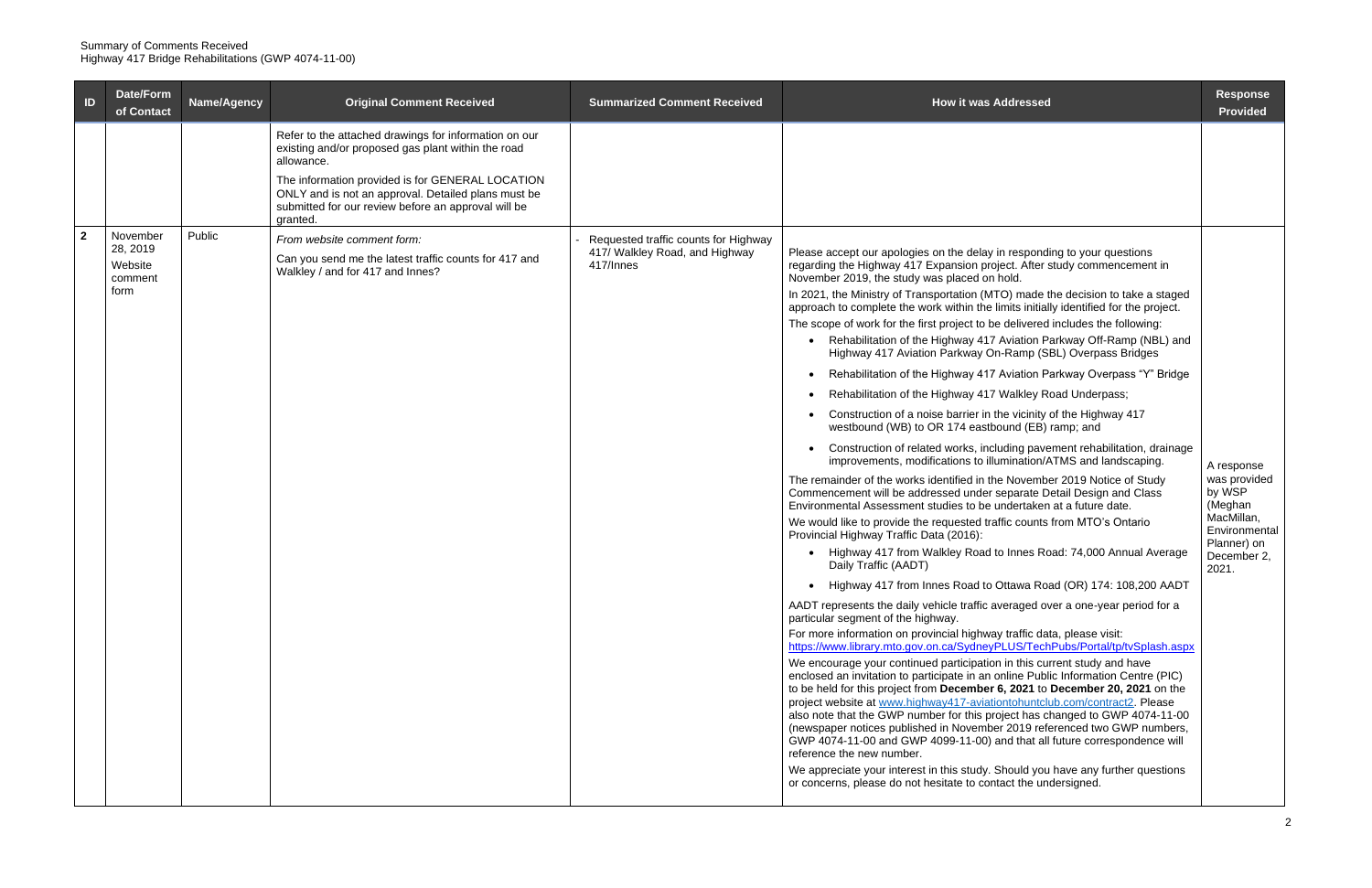| ID           | Date/Form<br>of Contact        | Name/Agency | <b>Original Comment Received</b>                                                                                                                                           | <b>Summarized Comment Received</b>                                                         | <b>How it was Addressed</b>                                                                                                                                                                                                                                                                                                                                                                                                                                                                                                                                                                                                                                                                                                                                  | <b>Response</b><br><b>Provided</b>         |
|--------------|--------------------------------|-------------|----------------------------------------------------------------------------------------------------------------------------------------------------------------------------|--------------------------------------------------------------------------------------------|--------------------------------------------------------------------------------------------------------------------------------------------------------------------------------------------------------------------------------------------------------------------------------------------------------------------------------------------------------------------------------------------------------------------------------------------------------------------------------------------------------------------------------------------------------------------------------------------------------------------------------------------------------------------------------------------------------------------------------------------------------------|--------------------------------------------|
|              |                                |             | Refer to the attached drawings for information on our<br>existing and/or proposed gas plant within the road<br>allowance.                                                  |                                                                                            |                                                                                                                                                                                                                                                                                                                                                                                                                                                                                                                                                                                                                                                                                                                                                              |                                            |
|              |                                |             | The information provided is for GENERAL LOCATION<br>ONLY and is not an approval. Detailed plans must be<br>submitted for our review before an approval will be<br>granted. |                                                                                            |                                                                                                                                                                                                                                                                                                                                                                                                                                                                                                                                                                                                                                                                                                                                                              |                                            |
| $\mathbf{2}$ | November                       | Public      | From website comment form:                                                                                                                                                 | Requested traffic counts for Highway                                                       |                                                                                                                                                                                                                                                                                                                                                                                                                                                                                                                                                                                                                                                                                                                                                              |                                            |
|              | 28, 2019<br>Website<br>comment |             | Can you send me the latest traffic counts for 417 and<br>Walkley / and for 417 and Innes?                                                                                  | 417/ Walkley Road, and Highway<br>417/Innes                                                | Please accept our apologies on the delay in responding to your questions<br>regarding the Highway 417 Expansion project. After study commencement in<br>November 2019, the study was placed on hold.                                                                                                                                                                                                                                                                                                                                                                                                                                                                                                                                                         |                                            |
|              | form                           |             |                                                                                                                                                                            |                                                                                            | In 2021, the Ministry of Transportation (MTO) made the decision to take a staged<br>approach to complete the work within the limits initially identified for the project.                                                                                                                                                                                                                                                                                                                                                                                                                                                                                                                                                                                    |                                            |
|              |                                |             |                                                                                                                                                                            |                                                                                            | The scope of work for the first project to be delivered includes the following:<br>Rehabilitation of the Highway 417 Aviation Parkway Off-Ramp (NBL) and                                                                                                                                                                                                                                                                                                                                                                                                                                                                                                                                                                                                     |                                            |
|              |                                |             |                                                                                                                                                                            |                                                                                            | Highway 417 Aviation Parkway On-Ramp (SBL) Overpass Bridges                                                                                                                                                                                                                                                                                                                                                                                                                                                                                                                                                                                                                                                                                                  |                                            |
|              |                                |             |                                                                                                                                                                            |                                                                                            | Rehabilitation of the Highway 417 Aviation Parkway Overpass "Y" Bridge                                                                                                                                                                                                                                                                                                                                                                                                                                                                                                                                                                                                                                                                                       |                                            |
|              |                                |             |                                                                                                                                                                            |                                                                                            | Rehabilitation of the Highway 417 Walkley Road Underpass;                                                                                                                                                                                                                                                                                                                                                                                                                                                                                                                                                                                                                                                                                                    |                                            |
|              |                                |             |                                                                                                                                                                            |                                                                                            | Construction of a noise barrier in the vicinity of the Highway 417<br>westbound (WB) to OR 174 eastbound (EB) ramp; and                                                                                                                                                                                                                                                                                                                                                                                                                                                                                                                                                                                                                                      |                                            |
|              |                                |             |                                                                                                                                                                            |                                                                                            | Construction of related works, including pavement rehabilitation, drainage<br>improvements, modifications to illumination/ATMS and landscaping.                                                                                                                                                                                                                                                                                                                                                                                                                                                                                                                                                                                                              | A response                                 |
|              |                                |             |                                                                                                                                                                            |                                                                                            | The remainder of the works identified in the November 2019 Notice of Study<br>Commencement will be addressed under separate Detail Design and Class<br>Environmental Assessment studies to be undertaken at a future date.                                                                                                                                                                                                                                                                                                                                                                                                                                                                                                                                   | was provided<br>by WSP<br>(Meghan          |
|              |                                |             |                                                                                                                                                                            |                                                                                            | We would like to provide the requested traffic counts from MTO's Ontario<br>Provincial Highway Traffic Data (2016):                                                                                                                                                                                                                                                                                                                                                                                                                                                                                                                                                                                                                                          | MacMillan,<br>Environmental<br>Planner) on |
|              |                                |             |                                                                                                                                                                            | Highway 417 from Walkley Road to Innes Road: 74,000 Annual Average<br>Daily Traffic (AADT) | December 2,<br>2021.                                                                                                                                                                                                                                                                                                                                                                                                                                                                                                                                                                                                                                                                                                                                         |                                            |
|              |                                |             |                                                                                                                                                                            |                                                                                            | Highway 417 from Innes Road to Ottawa Road (OR) 174: 108,200 AADT                                                                                                                                                                                                                                                                                                                                                                                                                                                                                                                                                                                                                                                                                            |                                            |
|              |                                |             |                                                                                                                                                                            |                                                                                            | AADT represents the daily vehicle traffic averaged over a one-year period for a<br>particular segment of the highway.                                                                                                                                                                                                                                                                                                                                                                                                                                                                                                                                                                                                                                        |                                            |
|              |                                |             |                                                                                                                                                                            |                                                                                            | For more information on provincial highway traffic data, please visit:<br>https://www.library.mto.gov.on.ca/SydneyPLUS/TechPubs/Portal/tp/tvSplash.aspx                                                                                                                                                                                                                                                                                                                                                                                                                                                                                                                                                                                                      |                                            |
|              |                                |             |                                                                                                                                                                            |                                                                                            | We encourage your continued participation in this current study and have<br>enclosed an invitation to participate in an online Public Information Centre (PIC)<br>to be held for this project from December 6, 2021 to December 20, 2021 on the<br>project website at www.highway417-aviationtohuntclub.com/contract2. Please<br>also note that the GWP number for this project has changed to GWP 4074-11-00<br>(newspaper notices published in November 2019 referenced two GWP numbers,<br>GWP 4074-11-00 and GWP 4099-11-00) and that all future correspondence will<br>reference the new number.<br>We appreciate your interest in this study. Should you have any further questions<br>or concerns, please do not hesitate to contact the undersigned. |                                            |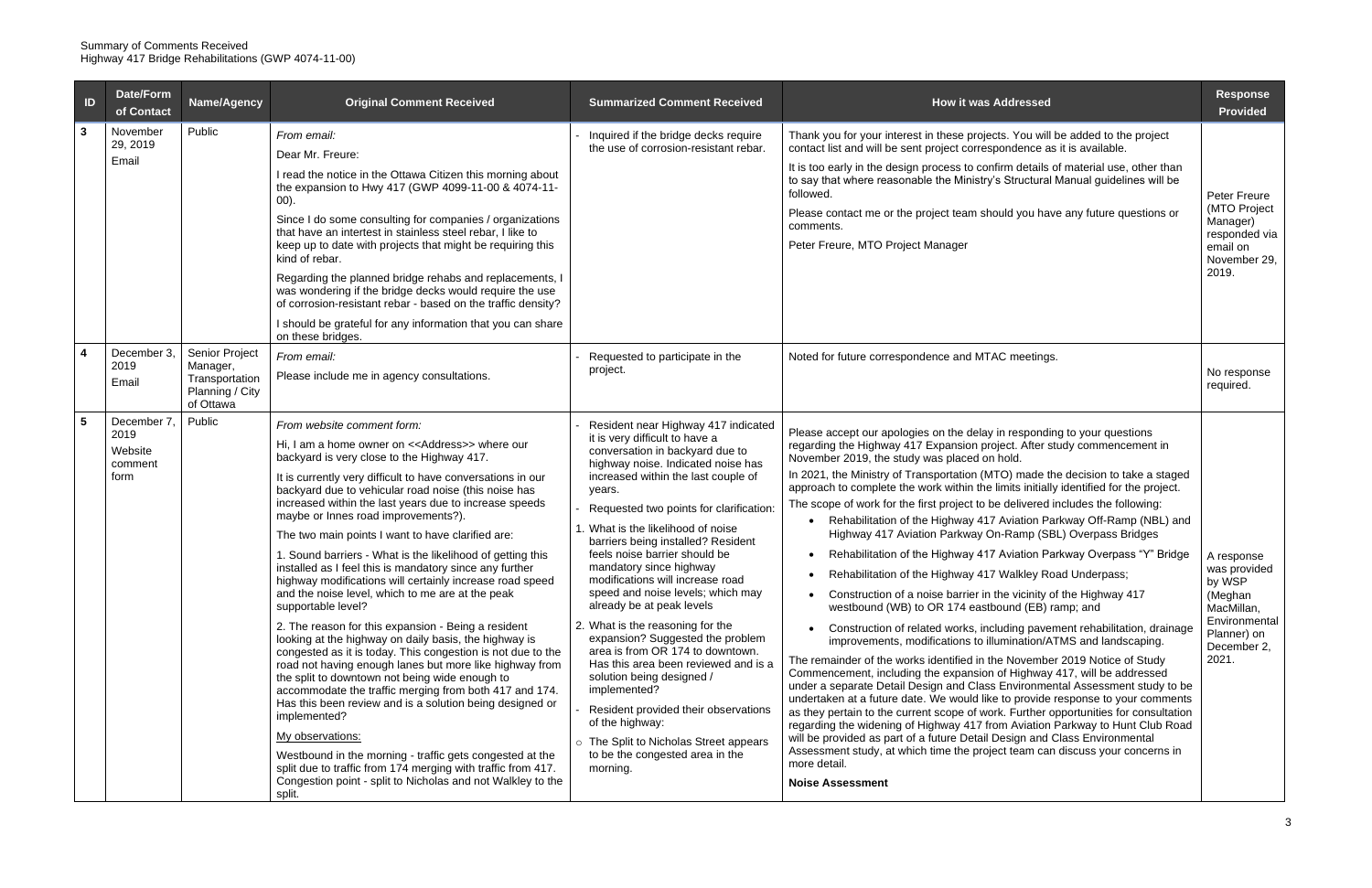| ID                 | <b>Date/Form</b><br>of Contact                   | Name/Agency                                                                  | <b>Original Comment Received</b>                                                                                                                                                                                                                                                                                                                                                                                                                                                                                                                                                                                                                                                                                                                                                                                                                                                                                                                                                                                                                                                                                                                                                                                                                                                                                                                                        | <b>Summarized Comment Received</b>                                                                                                                                                                                                                                                                                                                                                                                                                                                                                                                                                                                                                                                                                                                                                                                                            | <b>How it was Addressed</b>                                                                                                                                                                                                                                                                                                                                                                                                                                                                                                                                                                                                                                                                                                                                                                                                                                                                                                                                                                                                                                                                                                                                                                                                                                                                                                                                                                                                                                                                                                                                                                                                                                                                                                                       | <b>Response</b><br><b>Provided</b>                                                                                    |
|--------------------|--------------------------------------------------|------------------------------------------------------------------------------|-------------------------------------------------------------------------------------------------------------------------------------------------------------------------------------------------------------------------------------------------------------------------------------------------------------------------------------------------------------------------------------------------------------------------------------------------------------------------------------------------------------------------------------------------------------------------------------------------------------------------------------------------------------------------------------------------------------------------------------------------------------------------------------------------------------------------------------------------------------------------------------------------------------------------------------------------------------------------------------------------------------------------------------------------------------------------------------------------------------------------------------------------------------------------------------------------------------------------------------------------------------------------------------------------------------------------------------------------------------------------|-----------------------------------------------------------------------------------------------------------------------------------------------------------------------------------------------------------------------------------------------------------------------------------------------------------------------------------------------------------------------------------------------------------------------------------------------------------------------------------------------------------------------------------------------------------------------------------------------------------------------------------------------------------------------------------------------------------------------------------------------------------------------------------------------------------------------------------------------|---------------------------------------------------------------------------------------------------------------------------------------------------------------------------------------------------------------------------------------------------------------------------------------------------------------------------------------------------------------------------------------------------------------------------------------------------------------------------------------------------------------------------------------------------------------------------------------------------------------------------------------------------------------------------------------------------------------------------------------------------------------------------------------------------------------------------------------------------------------------------------------------------------------------------------------------------------------------------------------------------------------------------------------------------------------------------------------------------------------------------------------------------------------------------------------------------------------------------------------------------------------------------------------------------------------------------------------------------------------------------------------------------------------------------------------------------------------------------------------------------------------------------------------------------------------------------------------------------------------------------------------------------------------------------------------------------------------------------------------------------|-----------------------------------------------------------------------------------------------------------------------|
| $\mathbf{3}$       | November<br>29, 2019<br>Email                    | Public                                                                       | From email:<br>Dear Mr. Freure:<br>I read the notice in the Ottawa Citizen this morning about<br>the expansion to Hwy 417 (GWP 4099-11-00 & 4074-11-<br>(00).<br>Since I do some consulting for companies / organizations<br>that have an intertest in stainless steel rebar, I like to<br>keep up to date with projects that might be requiring this<br>kind of rebar.<br>Regarding the planned bridge rehabs and replacements, I<br>was wondering if the bridge decks would require the use<br>of corrosion-resistant rebar - based on the traffic density?<br>I should be grateful for any information that you can share<br>on these bridges.                                                                                                                                                                                                                                                                                                                                                                                                                                                                                                                                                                                                                                                                                                                       | Inquired if the bridge decks require<br>the use of corrosion-resistant rebar.                                                                                                                                                                                                                                                                                                                                                                                                                                                                                                                                                                                                                                                                                                                                                                 | Thank you for your interest in these projects. You will be added to the project<br>contact list and will be sent project correspondence as it is available.<br>It is too early in the design process to confirm details of material use, other than<br>to say that where reasonable the Ministry's Structural Manual guidelines will be<br>followed.<br>Please contact me or the project team should you have any future questions or<br>comments.<br>Peter Freure, MTO Project Manager                                                                                                                                                                                                                                                                                                                                                                                                                                                                                                                                                                                                                                                                                                                                                                                                                                                                                                                                                                                                                                                                                                                                                                                                                                                           | Peter Freure<br>(MTO Project<br>Manager)<br>responded via<br>email on<br>November 29,<br>2019.                        |
| $\overline{\bf 4}$ | December 3<br>2019<br>Email                      | Senior Project<br>Manager,<br>Transportation<br>Planning / City<br>of Ottawa | From email:<br>Please include me in agency consultations.                                                                                                                                                                                                                                                                                                                                                                                                                                                                                                                                                                                                                                                                                                                                                                                                                                                                                                                                                                                                                                                                                                                                                                                                                                                                                                               | Requested to participate in the<br>project.                                                                                                                                                                                                                                                                                                                                                                                                                                                                                                                                                                                                                                                                                                                                                                                                   | Noted for future correspondence and MTAC meetings.                                                                                                                                                                                                                                                                                                                                                                                                                                                                                                                                                                                                                                                                                                                                                                                                                                                                                                                                                                                                                                                                                                                                                                                                                                                                                                                                                                                                                                                                                                                                                                                                                                                                                                | No response<br>required.                                                                                              |
| $5\phantom{1}$     | December 7<br>2019<br>Website<br>comment<br>form | Public                                                                       | From website comment form:<br>Hi, I am a home owner on < <address>&gt; where our<br/>backyard is very close to the Highway 417.<br/>It is currently very difficult to have conversations in our<br/>backyard due to vehicular road noise (this noise has<br/>increased within the last years due to increase speeds<br/>maybe or Innes road improvements?).<br/>The two main points I want to have clarified are:<br/>1. Sound barriers - What is the likelihood of getting this<br/>installed as I feel this is mandatory since any further<br/>highway modifications will certainly increase road speed<br/>and the noise level, which to me are at the peak<br/>supportable level?<br/>2. The reason for this expansion - Being a resident<br/>looking at the highway on daily basis, the highway is<br/>congested as it is today. This congestion is not due to the<br/>road not having enough lanes but more like highway from<br/>the split to downtown not being wide enough to<br/>accommodate the traffic merging from both 417 and 174.<br/>Has this been review and is a solution being designed or<br/>implemented?<br/>My observations:<br/>Westbound in the morning - traffic gets congested at the<br/>split due to traffic from 174 merging with traffic from 417.<br/>Congestion point - split to Nicholas and not Walkley to the<br/>split.</address> | Resident near Highway 417 indicated<br>it is very difficult to have a<br>conversation in backyard due to<br>highway noise. Indicated noise has<br>increased within the last couple of<br>years.<br>Requested two points for clarification:<br>1. What is the likelihood of noise<br>barriers being installed? Resident<br>feels noise barrier should be<br>mandatory since highway<br>modifications will increase road<br>speed and noise levels; which may<br>already be at peak levels<br>2. What is the reasoning for the<br>expansion? Suggested the problem<br>area is from OR 174 to downtown.<br>Has this area been reviewed and is a<br>solution being designed /<br>implemented?<br>Resident provided their observations<br>of the highway:<br>o The Split to Nicholas Street appears<br>to be the congested area in the<br>morning. | Please accept our apologies on the delay in responding to your questions<br>regarding the Highway 417 Expansion project. After study commencement in<br>November 2019, the study was placed on hold.<br>In 2021, the Ministry of Transportation (MTO) made the decision to take a staged<br>approach to complete the work within the limits initially identified for the project.<br>The scope of work for the first project to be delivered includes the following:<br>Rehabilitation of the Highway 417 Aviation Parkway Off-Ramp (NBL) and<br>Highway 417 Aviation Parkway On-Ramp (SBL) Overpass Bridges<br>Rehabilitation of the Highway 417 Aviation Parkway Overpass "Y" Bridge<br>Rehabilitation of the Highway 417 Walkley Road Underpass;<br>Construction of a noise barrier in the vicinity of the Highway 417<br>westbound (WB) to OR 174 eastbound (EB) ramp; and<br>Construction of related works, including pavement rehabilitation, drainage<br>improvements, modifications to illumination/ATMS and landscaping.<br>The remainder of the works identified in the November 2019 Notice of Study<br>Commencement, including the expansion of Highway 417, will be addressed<br>under a separate Detail Design and Class Environmental Assessment study to be<br>undertaken at a future date. We would like to provide response to your comments<br>as they pertain to the current scope of work. Further opportunities for consultation<br>regarding the widening of Highway 417 from Aviation Parkway to Hunt Club Road<br>will be provided as part of a future Detail Design and Class Environmental<br>Assessment study, at which time the project team can discuss your concerns in<br>more detail.<br><b>Noise Assessment</b> | A response<br>was provided<br>by WSP<br>(Meghan<br>MacMillan,<br>Environmental<br>Planner) on<br>December 2,<br>2021. |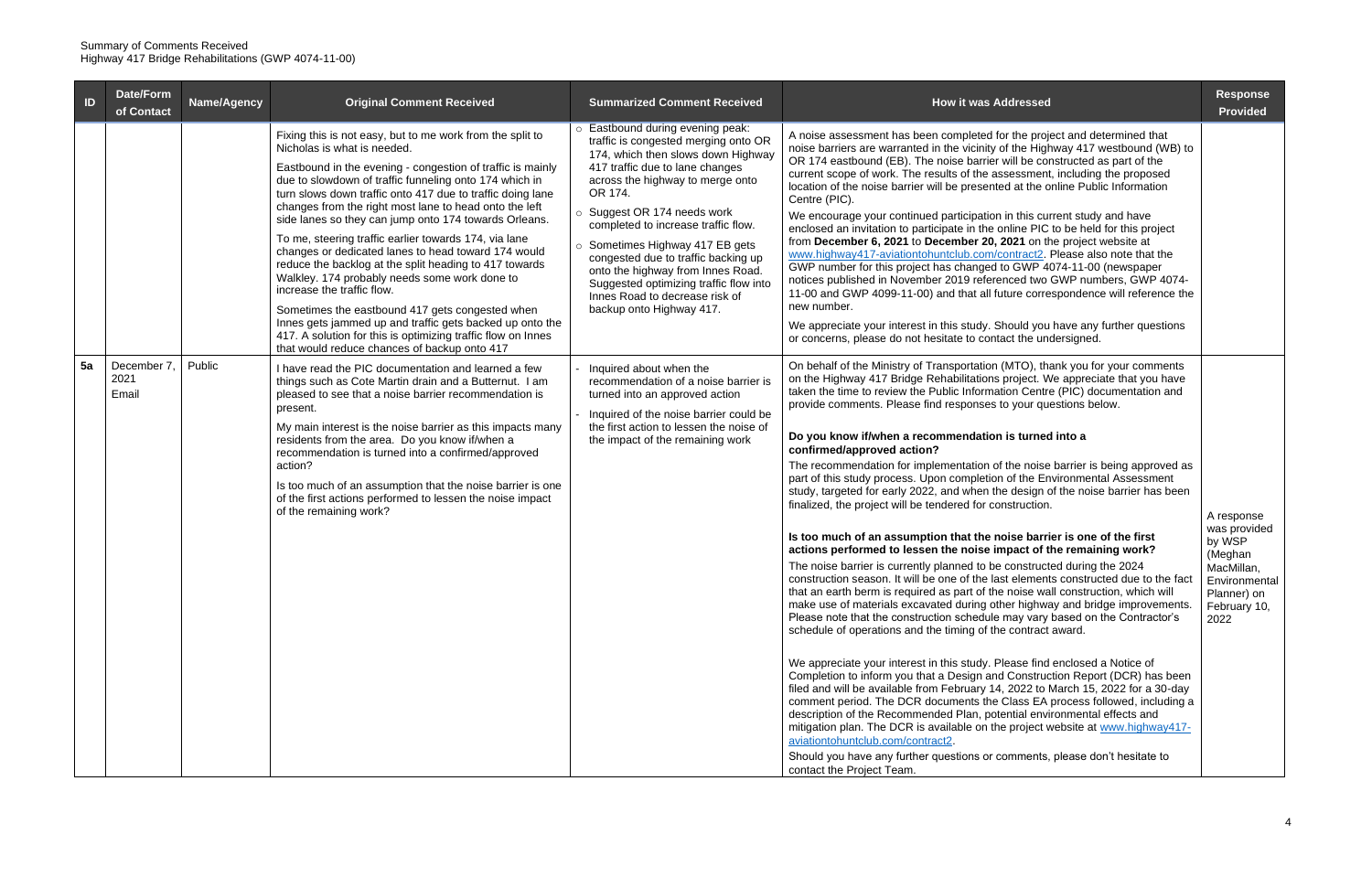| ID | Date/Form<br>of Contact     | Name/Agency | <b>Original Comment Received</b>                                                                                                                                                                                                                                                                                                                                                                                                                                                                                                                                                                                                                                                                                                                                                                                                                                                          | <b>Summarized Comment Received</b>                                                                                                                                                                                                                                                                                                                                                                                                                                                            | <b>How it was Addressed</b>                                                                                                                                                                                                                                                                                                                                                                                                                                                                                                                                                                                                                                                                                                                                                                                                                                                                                                                                                                                                                                                                                                                                                                                                                                                                                                                                                                                                                                                                                                                                                                                                                                                                                                                                                                                                                                                                                                                                                                                                         | <b>Response</b><br><b>Provided</b>                                                                                    |
|----|-----------------------------|-------------|-------------------------------------------------------------------------------------------------------------------------------------------------------------------------------------------------------------------------------------------------------------------------------------------------------------------------------------------------------------------------------------------------------------------------------------------------------------------------------------------------------------------------------------------------------------------------------------------------------------------------------------------------------------------------------------------------------------------------------------------------------------------------------------------------------------------------------------------------------------------------------------------|-----------------------------------------------------------------------------------------------------------------------------------------------------------------------------------------------------------------------------------------------------------------------------------------------------------------------------------------------------------------------------------------------------------------------------------------------------------------------------------------------|-------------------------------------------------------------------------------------------------------------------------------------------------------------------------------------------------------------------------------------------------------------------------------------------------------------------------------------------------------------------------------------------------------------------------------------------------------------------------------------------------------------------------------------------------------------------------------------------------------------------------------------------------------------------------------------------------------------------------------------------------------------------------------------------------------------------------------------------------------------------------------------------------------------------------------------------------------------------------------------------------------------------------------------------------------------------------------------------------------------------------------------------------------------------------------------------------------------------------------------------------------------------------------------------------------------------------------------------------------------------------------------------------------------------------------------------------------------------------------------------------------------------------------------------------------------------------------------------------------------------------------------------------------------------------------------------------------------------------------------------------------------------------------------------------------------------------------------------------------------------------------------------------------------------------------------------------------------------------------------------------------------------------------------|-----------------------------------------------------------------------------------------------------------------------|
|    |                             |             | Fixing this is not easy, but to me work from the split to<br>Nicholas is what is needed.<br>Eastbound in the evening - congestion of traffic is mainly<br>due to slowdown of traffic funneling onto 174 which in<br>turn slows down traffic onto 417 due to traffic doing lane<br>changes from the right most lane to head onto the left<br>side lanes so they can jump onto 174 towards Orleans.<br>To me, steering traffic earlier towards 174, via lane<br>changes or dedicated lanes to head toward 174 would<br>reduce the backlog at the split heading to 417 towards<br>Walkley. 174 probably needs some work done to<br>increase the traffic flow.<br>Sometimes the eastbound 417 gets congested when<br>Innes gets jammed up and traffic gets backed up onto the<br>417. A solution for this is optimizing traffic flow on Innes<br>that would reduce chances of backup onto 417 | o Eastbound during evening peak:<br>traffic is congested merging onto OR<br>174, which then slows down Highway<br>417 traffic due to lane changes<br>across the highway to merge onto<br>OR 174.<br>○ Suggest OR 174 needs work<br>completed to increase traffic flow.<br>○ Sometimes Highway 417 EB gets<br>congested due to traffic backing up<br>onto the highway from Innes Road.<br>Suggested optimizing traffic flow into<br>Innes Road to decrease risk of<br>backup onto Highway 417. | A noise assessment has been completed for the project and determined that<br>noise barriers are warranted in the vicinity of the Highway 417 westbound (WB) to<br>OR 174 eastbound (EB). The noise barrier will be constructed as part of the<br>current scope of work. The results of the assessment, including the proposed<br>location of the noise barrier will be presented at the online Public Information<br>Centre (PIC).<br>We encourage your continued participation in this current study and have<br>enclosed an invitation to participate in the online PIC to be held for this project<br>from December 6, 2021 to December 20, 2021 on the project website at<br>www.highway417-aviationtohuntclub.com/contract2. Please also note that the<br>GWP number for this project has changed to GWP 4074-11-00 (newspaper<br>notices published in November 2019 referenced two GWP numbers, GWP 4074-<br>11-00 and GWP 4099-11-00) and that all future correspondence will reference the<br>new number.<br>We appreciate your interest in this study. Should you have any further questions<br>or concerns, please do not hesitate to contact the undersigned.                                                                                                                                                                                                                                                                                                                                                                                                                                                                                                                                                                                                                                                                                                                                                                                                                                                            |                                                                                                                       |
| 5a | December 7<br>2021<br>Email | Public      | I have read the PIC documentation and learned a few<br>things such as Cote Martin drain and a Butternut. I am<br>pleased to see that a noise barrier recommendation is<br>present.<br>My main interest is the noise barrier as this impacts many<br>residents from the area. Do you know if/when a<br>recommendation is turned into a confirmed/approved<br>action?<br>Is too much of an assumption that the noise barrier is one<br>of the first actions performed to lessen the noise impact<br>of the remaining work?                                                                                                                                                                                                                                                                                                                                                                  | - Inquired about when the<br>recommendation of a noise barrier is<br>turned into an approved action<br>- Inquired of the noise barrier could be<br>the first action to lessen the noise of<br>the impact of the remaining work                                                                                                                                                                                                                                                                | On behalf of the Ministry of Transportation (MTO), thank you for your comments<br>on the Highway 417 Bridge Rehabilitations project. We appreciate that you have<br>taken the time to review the Public Information Centre (PIC) documentation and<br>provide comments. Please find responses to your questions below.<br>Do you know if/when a recommendation is turned into a<br>confirmed/approved action?<br>The recommendation for implementation of the noise barrier is being approved as<br>part of this study process. Upon completion of the Environmental Assessment<br>study, targeted for early 2022, and when the design of the noise barrier has been<br>finalized, the project will be tendered for construction.<br>Is too much of an assumption that the noise barrier is one of the first<br>actions performed to lessen the noise impact of the remaining work?<br>The noise barrier is currently planned to be constructed during the 2024<br>construction season. It will be one of the last elements constructed due to the fact<br>that an earth berm is required as part of the noise wall construction, which will<br>make use of materials excavated during other highway and bridge improvements.<br>Please note that the construction schedule may vary based on the Contractor's<br>schedule of operations and the timing of the contract award.<br>We appreciate your interest in this study. Please find enclosed a Notice of<br>Completion to inform you that a Design and Construction Report (DCR) has been<br>filed and will be available from February 14, 2022 to March 15, 2022 for a 30-day<br>comment period. The DCR documents the Class EA process followed, including a<br>description of the Recommended Plan, potential environmental effects and<br>mitigation plan. The DCR is available on the project website at www.highway417-<br>aviationtohuntclub.com/contract2.<br>Should you have any further questions or comments, please don't hesitate to<br>contact the Project Team. | A response<br>was provided<br>by WSP<br>(Meghan<br>MacMillan,<br>Environmental<br>Planner) on<br>February 10,<br>2022 |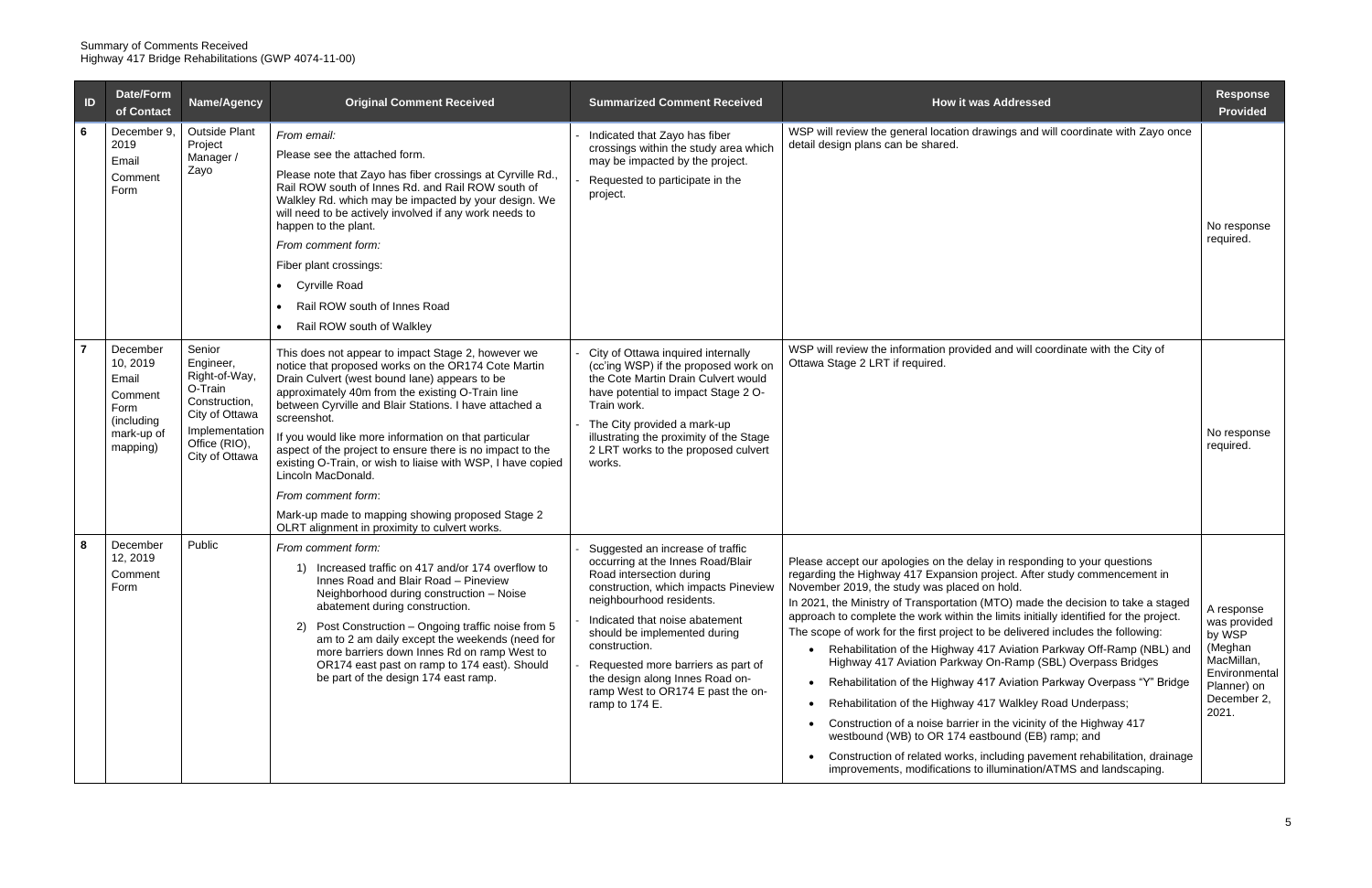| ID | Date/Form<br>of Contact                                                                  | <b>Name/Agency</b>                                                                                                                      | <b>Original Comment Received</b>                                                                                                                                                                                                                                                                                                                                                                                                                                                                                                                                                                                              | <b>Summarized Comment Received</b>                                                                                                                                                                                                                                                                                                                                                       | <b>How it was Addressed</b>                                                                                                                                                                                                                                                                                                                                                                                                                                                                                                                                                                                                                                                                                                                                                                                                                                                                                                                                                                                                       | <b>Response</b><br><b>Provided</b>                                                                                    |
|----|------------------------------------------------------------------------------------------|-----------------------------------------------------------------------------------------------------------------------------------------|-------------------------------------------------------------------------------------------------------------------------------------------------------------------------------------------------------------------------------------------------------------------------------------------------------------------------------------------------------------------------------------------------------------------------------------------------------------------------------------------------------------------------------------------------------------------------------------------------------------------------------|------------------------------------------------------------------------------------------------------------------------------------------------------------------------------------------------------------------------------------------------------------------------------------------------------------------------------------------------------------------------------------------|-----------------------------------------------------------------------------------------------------------------------------------------------------------------------------------------------------------------------------------------------------------------------------------------------------------------------------------------------------------------------------------------------------------------------------------------------------------------------------------------------------------------------------------------------------------------------------------------------------------------------------------------------------------------------------------------------------------------------------------------------------------------------------------------------------------------------------------------------------------------------------------------------------------------------------------------------------------------------------------------------------------------------------------|-----------------------------------------------------------------------------------------------------------------------|
| 6  | December 9,<br>2019<br>Email<br>Comment<br>Form                                          | <b>Outside Plant</b><br>Project<br>Manager /<br>Zayo                                                                                    | From email:<br>Please see the attached form.<br>Please note that Zayo has fiber crossings at Cyrville Rd.,<br>Rail ROW south of Innes Rd. and Rail ROW south of<br>Walkley Rd. which may be impacted by your design. We<br>will need to be actively involved if any work needs to<br>happen to the plant.<br>From comment form:<br>Fiber plant crossings:<br><b>Cyrville Road</b><br>Rail ROW south of Innes Road<br>Rail ROW south of Walkley                                                                                                                                                                                | Indicated that Zayo has fiber<br>crossings within the study area which<br>may be impacted by the project.<br>Requested to participate in the<br>project.                                                                                                                                                                                                                                 | WSP will review the general location drawings and will coordinate with Zayo once<br>detail design plans can be shared.                                                                                                                                                                                                                                                                                                                                                                                                                                                                                                                                                                                                                                                                                                                                                                                                                                                                                                            | No response<br>required.                                                                                              |
|    | December<br>10, 2019<br>Email<br>Comment<br>Form<br>(including<br>mark-up of<br>mapping) | Senior<br>Engineer,<br>Right-of-Way,<br>O-Train<br>Construction,<br>City of Ottawa<br>Implementation<br>Office (RIO),<br>City of Ottawa | This does not appear to impact Stage 2, however we<br>notice that proposed works on the OR174 Cote Martin<br>Drain Culvert (west bound lane) appears to be<br>approximately 40m from the existing O-Train line<br>between Cyrville and Blair Stations. I have attached a<br>screenshot.<br>If you would like more information on that particular<br>aspect of the project to ensure there is no impact to the<br>existing O-Train, or wish to liaise with WSP, I have copied<br>Lincoln MacDonald.<br>From comment form:<br>Mark-up made to mapping showing proposed Stage 2<br>OLRT alignment in proximity to culvert works. | City of Ottawa inquired internally<br>(cc'ing WSP) if the proposed work on<br>the Cote Martin Drain Culvert would<br>have potential to impact Stage 2 O-<br>Train work.<br>The City provided a mark-up<br>illustrating the proximity of the Stage<br>2 LRT works to the proposed culvert<br>works.                                                                                       | WSP will review the information provided and will coordinate with the City of<br>Ottawa Stage 2 LRT if required.                                                                                                                                                                                                                                                                                                                                                                                                                                                                                                                                                                                                                                                                                                                                                                                                                                                                                                                  | No response<br>required.                                                                                              |
| 8  | December<br>12, 2019<br>Comment<br>Form                                                  | Public                                                                                                                                  | From comment form:<br>1) Increased traffic on 417 and/or 174 overflow to<br>Innes Road and Blair Road - Pineview<br>Neighborhood during construction - Noise<br>abatement during construction.<br>2) Post Construction - Ongoing traffic noise from 5<br>am to 2 am daily except the weekends (need for<br>more barriers down Innes Rd on ramp West to<br>OR174 east past on ramp to 174 east). Should<br>be part of the design 174 east ramp.                                                                                                                                                                                | Suggested an increase of traffic<br>occurring at the Innes Road/Blair<br>Road intersection during<br>construction, which impacts Pineview<br>neighbourhood residents.<br>Indicated that noise abatement<br>should be implemented during<br>construction.<br>Requested more barriers as part of<br>the design along Innes Road on-<br>ramp West to OR174 E past the on-<br>ramp to 174 E. | Please accept our apologies on the delay in responding to your questions<br>regarding the Highway 417 Expansion project. After study commencement in<br>November 2019, the study was placed on hold.<br>In 2021, the Ministry of Transportation (MTO) made the decision to take a staged<br>approach to complete the work within the limits initially identified for the project.<br>The scope of work for the first project to be delivered includes the following:<br>Rehabilitation of the Highway 417 Aviation Parkway Off-Ramp (NBL) and<br>Highway 417 Aviation Parkway On-Ramp (SBL) Overpass Bridges<br>Rehabilitation of the Highway 417 Aviation Parkway Overpass "Y" Bridge<br>Rehabilitation of the Highway 417 Walkley Road Underpass;<br>Construction of a noise barrier in the vicinity of the Highway 417<br>westbound (WB) to OR 174 eastbound (EB) ramp; and<br>Construction of related works, including pavement rehabilitation, drainage<br>improvements, modifications to illumination/ATMS and landscaping. | A response<br>was provided<br>by WSP<br>(Meghan<br>MacMillan,<br>Environmental<br>Planner) on<br>December 2,<br>2021. |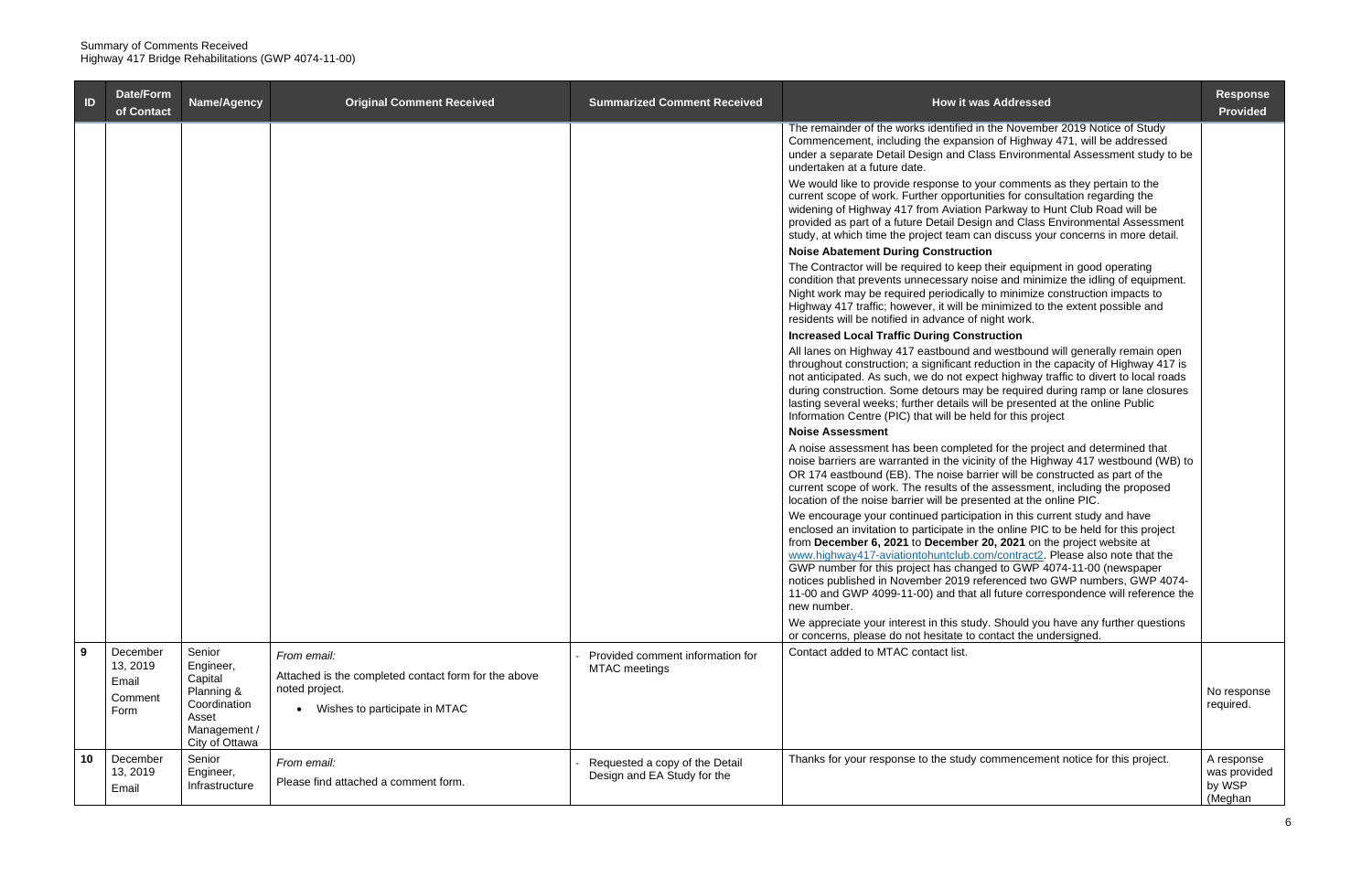| ID | Date/Form<br>of Contact       | Name/Agency                                                           | <b>Original Comment Received</b>                                    | <b>Summarized Comment Received</b>                            | <b>How it was Addressed</b>                                                                                                                                                                                                                                                                                                                                                                                                                                                                                                                                                 | <b>Response</b><br><b>Provided</b>              |
|----|-------------------------------|-----------------------------------------------------------------------|---------------------------------------------------------------------|---------------------------------------------------------------|-----------------------------------------------------------------------------------------------------------------------------------------------------------------------------------------------------------------------------------------------------------------------------------------------------------------------------------------------------------------------------------------------------------------------------------------------------------------------------------------------------------------------------------------------------------------------------|-------------------------------------------------|
|    |                               |                                                                       |                                                                     |                                                               | The remainder of the works identified in the November 2019 Notice of Study<br>Commencement, including the expansion of Highway 471, will be addressed<br>under a separate Detail Design and Class Environmental Assessment study to be<br>undertaken at a future date.                                                                                                                                                                                                                                                                                                      |                                                 |
|    |                               |                                                                       |                                                                     |                                                               | We would like to provide response to your comments as they pertain to the<br>current scope of work. Further opportunities for consultation regarding the<br>widening of Highway 417 from Aviation Parkway to Hunt Club Road will be<br>provided as part of a future Detail Design and Class Environmental Assessment<br>study, at which time the project team can discuss your concerns in more detail.                                                                                                                                                                     |                                                 |
|    |                               |                                                                       |                                                                     |                                                               | <b>Noise Abatement During Construction</b><br>The Contractor will be required to keep their equipment in good operating<br>condition that prevents unnecessary noise and minimize the idling of equipment.<br>Night work may be required periodically to minimize construction impacts to<br>Highway 417 traffic; however, it will be minimized to the extent possible and<br>residents will be notified in advance of night work.                                                                                                                                          |                                                 |
|    |                               |                                                                       |                                                                     |                                                               | <b>Increased Local Traffic During Construction</b><br>All lanes on Highway 417 eastbound and westbound will generally remain open<br>throughout construction; a significant reduction in the capacity of Highway 417 is<br>not anticipated. As such, we do not expect highway traffic to divert to local roads<br>during construction. Some detours may be required during ramp or lane closures<br>lasting several weeks; further details will be presented at the online Public<br>Information Centre (PIC) that will be held for this project                            |                                                 |
|    |                               |                                                                       |                                                                     |                                                               | <b>Noise Assessment</b>                                                                                                                                                                                                                                                                                                                                                                                                                                                                                                                                                     |                                                 |
|    |                               |                                                                       |                                                                     |                                                               | A noise assessment has been completed for the project and determined that<br>noise barriers are warranted in the vicinity of the Highway 417 westbound (WB) to<br>OR 174 eastbound (EB). The noise barrier will be constructed as part of the<br>current scope of work. The results of the assessment, including the proposed<br>location of the noise barrier will be presented at the online PIC.                                                                                                                                                                         |                                                 |
|    |                               |                                                                       |                                                                     |                                                               | We encourage your continued participation in this current study and have<br>enclosed an invitation to participate in the online PIC to be held for this project<br>from December 6, 2021 to December 20, 2021 on the project website at<br>www.highway417-aviationtohuntclub.com/contract2. Please also note that the<br>GWP number for this project has changed to GWP 4074-11-00 (newspaper<br>notices published in November 2019 referenced two GWP numbers, GWP 4074-<br>11-00 and GWP 4099-11-00) and that all future correspondence will reference the<br>new number. |                                                 |
|    |                               |                                                                       |                                                                     |                                                               | We appreciate your interest in this study. Should you have any further questions                                                                                                                                                                                                                                                                                                                                                                                                                                                                                            |                                                 |
| 9  | December                      | Senior                                                                |                                                                     |                                                               | or concerns, please do not hesitate to contact the undersigned.<br>Contact added to MTAC contact list.                                                                                                                                                                                                                                                                                                                                                                                                                                                                      |                                                 |
|    | 13, 2019                      | Engineer,<br>Capital                                                  | From email:<br>Attached is the completed contact form for the above | Provided comment information for<br><b>MTAC</b> meetings      |                                                                                                                                                                                                                                                                                                                                                                                                                                                                                                                                                                             |                                                 |
|    | Email<br>Comment<br>Form      | Planning &<br>Coordination<br>Asset<br>Management /<br>City of Ottawa | noted project.<br>Wishes to participate in MTAC<br>$\bullet$        |                                                               |                                                                                                                                                                                                                                                                                                                                                                                                                                                                                                                                                                             | No response<br>required.                        |
| 10 | December<br>13, 2019<br>Email | Senior<br>Engineer,<br>Infrastructure                                 | From email:<br>Please find attached a comment form.                 | Requested a copy of the Detail<br>Design and EA Study for the | Thanks for your response to the study commencement notice for this project.                                                                                                                                                                                                                                                                                                                                                                                                                                                                                                 | A response<br>was provided<br>by WSP<br>(Meghan |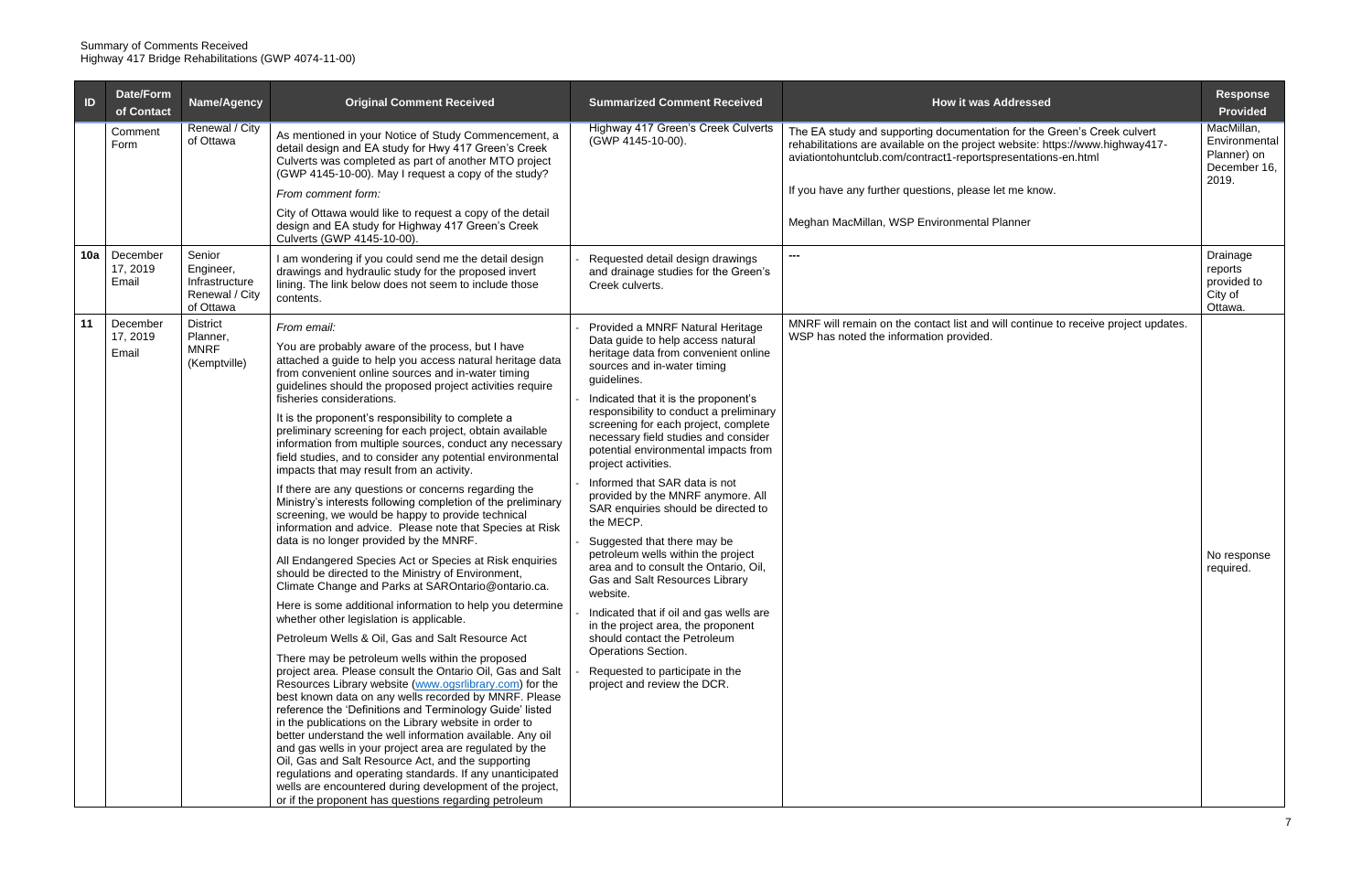| ID  | Date/Form<br>of Contact       | Name/Agency                                                          | <b>Original Comment Received</b>                                                                                                                                                                                                                                                                                                                                                                                                                                                                                                                                                                                                                                                                                                                                                                                                                                                                                                                                                                                                                                                                                                                                                                                                                                                                                                                                                                                                                                                                                                                                                                                                                                                                                                                                                                                                                                                                                           | <b>Summarized Comment Received</b>                                                                                                                                                                                                                                                                                                                                                                                                                                                                                                                                                                                                                                                                                                                                                                                                                                                            | <b>How it was Addressed</b>                                                                                                                                                                                               |
|-----|-------------------------------|----------------------------------------------------------------------|----------------------------------------------------------------------------------------------------------------------------------------------------------------------------------------------------------------------------------------------------------------------------------------------------------------------------------------------------------------------------------------------------------------------------------------------------------------------------------------------------------------------------------------------------------------------------------------------------------------------------------------------------------------------------------------------------------------------------------------------------------------------------------------------------------------------------------------------------------------------------------------------------------------------------------------------------------------------------------------------------------------------------------------------------------------------------------------------------------------------------------------------------------------------------------------------------------------------------------------------------------------------------------------------------------------------------------------------------------------------------------------------------------------------------------------------------------------------------------------------------------------------------------------------------------------------------------------------------------------------------------------------------------------------------------------------------------------------------------------------------------------------------------------------------------------------------------------------------------------------------------------------------------------------------|-----------------------------------------------------------------------------------------------------------------------------------------------------------------------------------------------------------------------------------------------------------------------------------------------------------------------------------------------------------------------------------------------------------------------------------------------------------------------------------------------------------------------------------------------------------------------------------------------------------------------------------------------------------------------------------------------------------------------------------------------------------------------------------------------------------------------------------------------------------------------------------------------|---------------------------------------------------------------------------------------------------------------------------------------------------------------------------------------------------------------------------|
|     | Comment<br>Form               | Renewal / City<br>of Ottawa                                          | As mentioned in your Notice of Study Commencement, a<br>detail design and EA study for Hwy 417 Green's Creek<br>Culverts was completed as part of another MTO project<br>(GWP 4145-10-00). May I request a copy of the study?                                                                                                                                                                                                                                                                                                                                                                                                                                                                                                                                                                                                                                                                                                                                                                                                                                                                                                                                                                                                                                                                                                                                                                                                                                                                                                                                                                                                                                                                                                                                                                                                                                                                                              | Highway 417 Green's Creek Culverts<br>(GWP 4145-10-00).                                                                                                                                                                                                                                                                                                                                                                                                                                                                                                                                                                                                                                                                                                                                                                                                                                       | The EA study and supporting documentation for the Green's Creek culvert<br>rehabilitations are available on the project website: https://www.highway417-<br>aviationtohuntclub.com/contract1-reportspresentations-en.html |
|     |                               |                                                                      | From comment form:                                                                                                                                                                                                                                                                                                                                                                                                                                                                                                                                                                                                                                                                                                                                                                                                                                                                                                                                                                                                                                                                                                                                                                                                                                                                                                                                                                                                                                                                                                                                                                                                                                                                                                                                                                                                                                                                                                         |                                                                                                                                                                                                                                                                                                                                                                                                                                                                                                                                                                                                                                                                                                                                                                                                                                                                                               | If you have any further questions, please let me know.                                                                                                                                                                    |
|     |                               |                                                                      | City of Ottawa would like to request a copy of the detail<br>design and EA study for Highway 417 Green's Creek<br>Culverts (GWP 4145-10-00).                                                                                                                                                                                                                                                                                                                                                                                                                                                                                                                                                                                                                                                                                                                                                                                                                                                                                                                                                                                                                                                                                                                                                                                                                                                                                                                                                                                                                                                                                                                                                                                                                                                                                                                                                                               |                                                                                                                                                                                                                                                                                                                                                                                                                                                                                                                                                                                                                                                                                                                                                                                                                                                                                               | Meghan MacMillan, WSP Environmental Planner                                                                                                                                                                               |
| 10a | December<br>17, 2019<br>Email | Senior<br>Engineer,<br>Infrastructure<br>Renewal / City<br>of Ottawa | am wondering if you could send me the detail design<br>drawings and hydraulic study for the proposed invert<br>lining. The link below does not seem to include those<br>contents.                                                                                                                                                                                                                                                                                                                                                                                                                                                                                                                                                                                                                                                                                                                                                                                                                                                                                                                                                                                                                                                                                                                                                                                                                                                                                                                                                                                                                                                                                                                                                                                                                                                                                                                                          | Requested detail design drawings<br>and drainage studies for the Green's<br>Creek culverts.                                                                                                                                                                                                                                                                                                                                                                                                                                                                                                                                                                                                                                                                                                                                                                                                   | $\overline{a}$                                                                                                                                                                                                            |
| 11  | December<br>17, 2019<br>Email | <b>District</b><br>Planner,<br><b>MNRF</b><br>(Kemptville)           | From email:<br>You are probably aware of the process, but I have<br>attached a guide to help you access natural heritage data<br>from convenient online sources and in-water timing<br>guidelines should the proposed project activities require<br>fisheries considerations.<br>It is the proponent's responsibility to complete a<br>preliminary screening for each project, obtain available<br>information from multiple sources, conduct any necessary<br>field studies, and to consider any potential environmental<br>impacts that may result from an activity.<br>If there are any questions or concerns regarding the<br>Ministry's interests following completion of the preliminary<br>screening, we would be happy to provide technical<br>information and advice. Please note that Species at Risk<br>data is no longer provided by the MNRF.<br>All Endangered Species Act or Species at Risk enquiries<br>should be directed to the Ministry of Environment,<br>Climate Change and Parks at SAROntario@ontario.ca.<br>Here is some additional information to help you determine<br>whether other legislation is applicable.<br>Petroleum Wells & Oil, Gas and Salt Resource Act<br>There may be petroleum wells within the proposed<br>project area. Please consult the Ontario Oil, Gas and Salt<br>Resources Library website (www.ogsrlibrary.com) for the<br>best known data on any wells recorded by MNRF. Please<br>reference the 'Definitions and Terminology Guide' listed<br>in the publications on the Library website in order to<br>better understand the well information available. Any oil<br>and gas wells in your project area are regulated by the<br>Oil, Gas and Salt Resource Act, and the supporting<br>regulations and operating standards. If any unanticipated<br>wells are encountered during development of the project,<br>or if the proponent has questions regarding petroleum | Provided a MNRF Natural Heritage<br>Data guide to help access natural<br>heritage data from convenient online<br>sources and in-water timing<br>guidelines.<br>Indicated that it is the proponent's<br>responsibility to conduct a preliminary<br>screening for each project, complete<br>necessary field studies and consider<br>potential environmental impacts from<br>project activities.<br>Informed that SAR data is not<br>provided by the MNRF anymore. All<br>SAR enquiries should be directed to<br>the MECP.<br>Suggested that there may be<br>petroleum wells within the project<br>area and to consult the Ontario, Oil,<br>Gas and Salt Resources Library<br>website.<br>Indicated that if oil and gas wells are<br>in the project area, the proponent<br>should contact the Petroleum<br>Operations Section.<br>Requested to participate in the<br>project and review the DCR. | MNRF will remain on the contact list and will continue to receive project updates.<br>WSP has noted the information provided.                                                                                             |

| <b>How it was Addressed</b>                                                                                                                                                                                               | <b>Response</b><br><b>Provided</b>                         |
|---------------------------------------------------------------------------------------------------------------------------------------------------------------------------------------------------------------------------|------------------------------------------------------------|
| The EA study and supporting documentation for the Green's Creek culvert<br>rehabilitations are available on the project website: https://www.highway417-<br>aviationtohuntclub.com/contract1-reportspresentations-en.html | MacMillan,<br>Environmental<br>Planner) on<br>December 16, |
| If you have any further questions, please let me know.                                                                                                                                                                    | 2019.                                                      |
| Meghan MacMillan, WSP Environmental Planner                                                                                                                                                                               |                                                            |
|                                                                                                                                                                                                                           | Drainage<br>reports<br>provided to<br>City of<br>Ottawa.   |
| MNRF will remain on the contact list and will continue to receive project updates.<br>WSP has noted the information provided.                                                                                             | No response<br>required.                                   |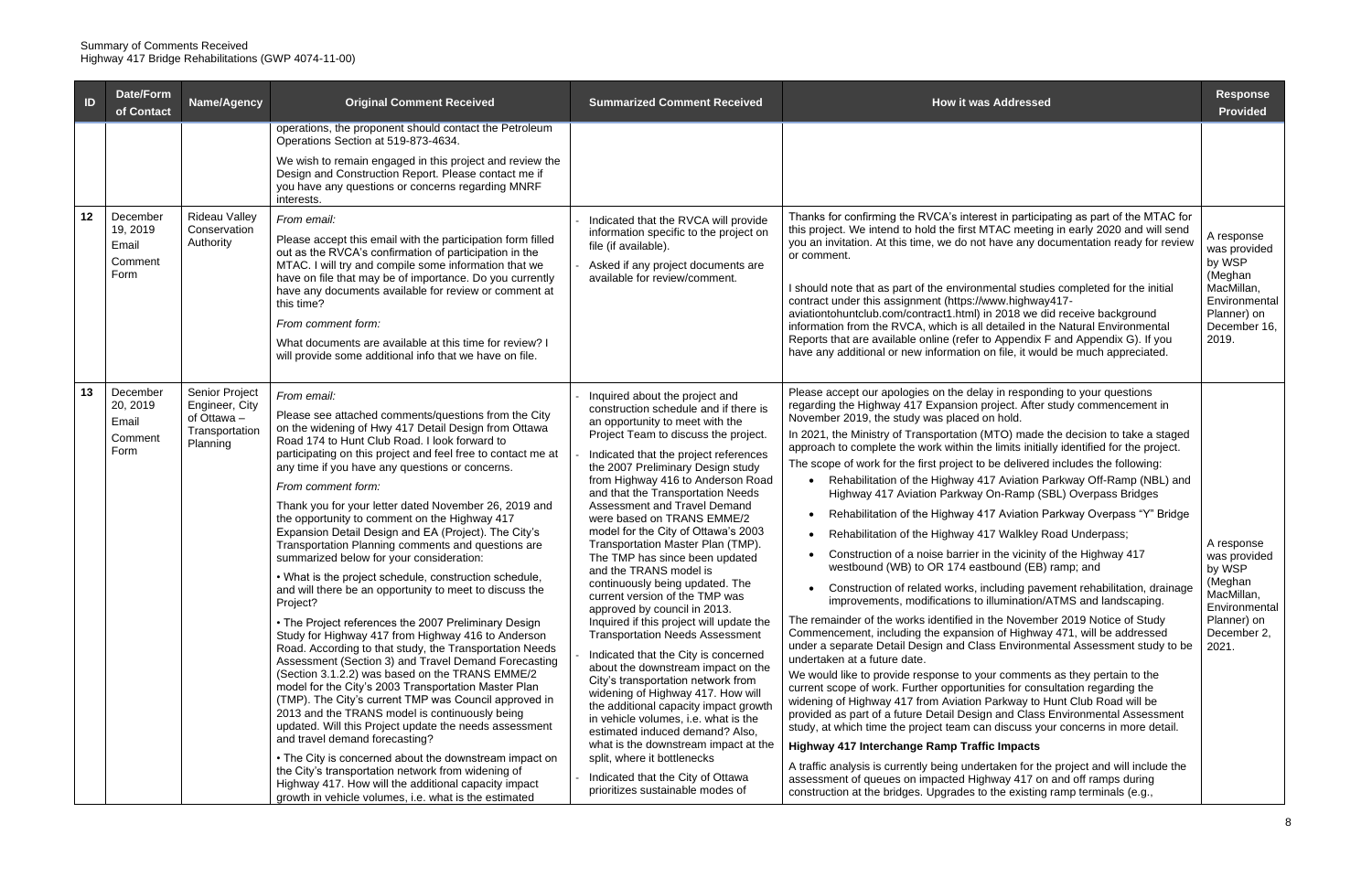| $\blacksquare$ | Date/Form<br>of Contact                          | Name/Agency                                                                   | <b>Original Comment Received</b>                                                                                                                                                                                                                                                                                                                                                                                                                                                                                                                                                                                                                                                                                                                                                                                                                                                                                                                                                                                                                                                                                                                                                                                                                                                                                                                                                                                                                                                                               | <b>Summarized Comment Received</b>                                                                                                                                                                                                                                                                                                                                                                                                                                                                                                                                                                                                                                                                                                                                                                                                                                                                                                                                                                                                                                                                                                       | <b>How it was Addressed</b>                                                                                                                                                                                                                                                                                                                                                                                                                                                                                                                                                                                                                                                                                                                                                                                                                                                                                                                                                                                                                                                                                                                                                                                                                                                                                                                                                                                                                                                                                                                                                                                                                                                                                                                                                                                                                                                                                                                                                                                              | <b>Response</b><br><b>Provided</b>                                                                                     |
|----------------|--------------------------------------------------|-------------------------------------------------------------------------------|----------------------------------------------------------------------------------------------------------------------------------------------------------------------------------------------------------------------------------------------------------------------------------------------------------------------------------------------------------------------------------------------------------------------------------------------------------------------------------------------------------------------------------------------------------------------------------------------------------------------------------------------------------------------------------------------------------------------------------------------------------------------------------------------------------------------------------------------------------------------------------------------------------------------------------------------------------------------------------------------------------------------------------------------------------------------------------------------------------------------------------------------------------------------------------------------------------------------------------------------------------------------------------------------------------------------------------------------------------------------------------------------------------------------------------------------------------------------------------------------------------------|------------------------------------------------------------------------------------------------------------------------------------------------------------------------------------------------------------------------------------------------------------------------------------------------------------------------------------------------------------------------------------------------------------------------------------------------------------------------------------------------------------------------------------------------------------------------------------------------------------------------------------------------------------------------------------------------------------------------------------------------------------------------------------------------------------------------------------------------------------------------------------------------------------------------------------------------------------------------------------------------------------------------------------------------------------------------------------------------------------------------------------------|--------------------------------------------------------------------------------------------------------------------------------------------------------------------------------------------------------------------------------------------------------------------------------------------------------------------------------------------------------------------------------------------------------------------------------------------------------------------------------------------------------------------------------------------------------------------------------------------------------------------------------------------------------------------------------------------------------------------------------------------------------------------------------------------------------------------------------------------------------------------------------------------------------------------------------------------------------------------------------------------------------------------------------------------------------------------------------------------------------------------------------------------------------------------------------------------------------------------------------------------------------------------------------------------------------------------------------------------------------------------------------------------------------------------------------------------------------------------------------------------------------------------------------------------------------------------------------------------------------------------------------------------------------------------------------------------------------------------------------------------------------------------------------------------------------------------------------------------------------------------------------------------------------------------------------------------------------------------------------------------------------------------------|------------------------------------------------------------------------------------------------------------------------|
| 12             | December<br>19, 2019                             | <b>Rideau Valley</b><br>Conservation                                          | operations, the proponent should contact the Petroleum<br>Operations Section at 519-873-4634.<br>We wish to remain engaged in this project and review the<br>Design and Construction Report. Please contact me if<br>you have any questions or concerns regarding MNRF<br>interests.<br>From email:                                                                                                                                                                                                                                                                                                                                                                                                                                                                                                                                                                                                                                                                                                                                                                                                                                                                                                                                                                                                                                                                                                                                                                                                            | Indicated that the RVCA will provide<br>information specific to the project on                                                                                                                                                                                                                                                                                                                                                                                                                                                                                                                                                                                                                                                                                                                                                                                                                                                                                                                                                                                                                                                           | Thanks for confirming the RVCA's interest in participating as part of the MTAC for<br>this project. We intend to hold the first MTAC meeting in early 2020 and will send                                                                                                                                                                                                                                                                                                                                                                                                                                                                                                                                                                                                                                                                                                                                                                                                                                                                                                                                                                                                                                                                                                                                                                                                                                                                                                                                                                                                                                                                                                                                                                                                                                                                                                                                                                                                                                                 |                                                                                                                        |
|                | Email<br>Comment<br>Form                         | Authority                                                                     | Please accept this email with the participation form filled<br>out as the RVCA's confirmation of participation in the<br>MTAC. I will try and compile some information that we<br>have on file that may be of importance. Do you currently<br>have any documents available for review or comment at<br>this time?<br>From comment form:<br>What documents are available at this time for review? I<br>will provide some additional info that we have on file.                                                                                                                                                                                                                                                                                                                                                                                                                                                                                                                                                                                                                                                                                                                                                                                                                                                                                                                                                                                                                                                  | file (if available).<br>Asked if any project documents are<br>available for review/comment.                                                                                                                                                                                                                                                                                                                                                                                                                                                                                                                                                                                                                                                                                                                                                                                                                                                                                                                                                                                                                                              | you an invitation. At this time, we do not have any documentation ready for review<br>or comment.<br>I should note that as part of the environmental studies completed for the initial<br>contract under this assignment (https://www.highway417-<br>aviationtohuntclub.com/contract1.html) in 2018 we did receive background<br>information from the RVCA, which is all detailed in the Natural Environmental<br>Reports that are available online (refer to Appendix F and Appendix G). If you<br>have any additional or new information on file, it would be much appreciated.                                                                                                                                                                                                                                                                                                                                                                                                                                                                                                                                                                                                                                                                                                                                                                                                                                                                                                                                                                                                                                                                                                                                                                                                                                                                                                                                                                                                                                        | A response<br>was provided<br>by WSP<br>(Meghan<br>MacMillan,<br>Environmental<br>Planner) on<br>December 16,<br>2019. |
| 13             | December<br>20, 2019<br>Email<br>Comment<br>Form | Senior Project<br>Engineer, City<br>of Ottawa -<br>Transportation<br>Planning | From email:<br>Please see attached comments/questions from the City<br>on the widening of Hwy 417 Detail Design from Ottawa<br>Road 174 to Hunt Club Road. I look forward to<br>participating on this project and feel free to contact me at<br>any time if you have any questions or concerns.<br>From comment form:<br>Thank you for your letter dated November 26, 2019 and<br>the opportunity to comment on the Highway 417<br>Expansion Detail Design and EA (Project). The City's<br>Transportation Planning comments and questions are<br>summarized below for your consideration:<br>. What is the project schedule, construction schedule,<br>and will there be an opportunity to meet to discuss the<br>Project?<br>• The Project references the 2007 Preliminary Design<br>Study for Highway 417 from Highway 416 to Anderson<br>Road. According to that study, the Transportation Needs<br>Assessment (Section 3) and Travel Demand Forecasting<br>(Section 3.1.2.2) was based on the TRANS EMME/2<br>model for the City's 2003 Transportation Master Plan<br>(TMP). The City's current TMP was Council approved in<br>2013 and the TRANS model is continuously being<br>updated. Will this Project update the needs assessment<br>and travel demand forecasting?<br>• The City is concerned about the downstream impact on<br>the City's transportation network from widening of<br>Highway 417. How will the additional capacity impact<br>growth in vehicle volumes, i.e. what is the estimated | Inquired about the project and<br>construction schedule and if there is<br>an opportunity to meet with the<br>Project Team to discuss the project.<br>Indicated that the project references<br>the 2007 Preliminary Design study<br>from Highway 416 to Anderson Road<br>and that the Transportation Needs<br>Assessment and Travel Demand<br>were based on TRANS EMME/2<br>model for the City of Ottawa's 2003<br>Transportation Master Plan (TMP).<br>The TMP has since been updated<br>and the TRANS model is<br>continuously being updated. The<br>current version of the TMP was<br>approved by council in 2013.<br>Inquired if this project will update the<br><b>Transportation Needs Assessment</b><br>Indicated that the City is concerned<br>about the downstream impact on the<br>City's transportation network from<br>widening of Highway 417. How will<br>the additional capacity impact growth<br>in vehicle volumes, i.e. what is the<br>estimated induced demand? Also,<br>what is the downstream impact at the<br>split, where it bottlenecks<br>Indicated that the City of Ottawa<br>prioritizes sustainable modes of | Please accept our apologies on the delay in responding to your questions<br>regarding the Highway 417 Expansion project. After study commencement in<br>November 2019, the study was placed on hold.<br>In 2021, the Ministry of Transportation (MTO) made the decision to take a staged<br>approach to complete the work within the limits initially identified for the project.<br>The scope of work for the first project to be delivered includes the following:<br>• Rehabilitation of the Highway 417 Aviation Parkway Off-Ramp (NBL) and<br>Highway 417 Aviation Parkway On-Ramp (SBL) Overpass Bridges<br>Rehabilitation of the Highway 417 Aviation Parkway Overpass "Y" Bridge<br>Rehabilitation of the Highway 417 Walkley Road Underpass;<br>Construction of a noise barrier in the vicinity of the Highway 417<br>westbound (WB) to OR 174 eastbound (EB) ramp; and<br>Construction of related works, including pavement rehabilitation, drainage<br>improvements, modifications to illumination/ATMS and landscaping.<br>The remainder of the works identified in the November 2019 Notice of Study<br>Commencement, including the expansion of Highway 471, will be addressed<br>under a separate Detail Design and Class Environmental Assessment study to be<br>undertaken at a future date.<br>We would like to provide response to your comments as they pertain to the<br>current scope of work. Further opportunities for consultation regarding the<br>widening of Highway 417 from Aviation Parkway to Hunt Club Road will be<br>provided as part of a future Detail Design and Class Environmental Assessment<br>study, at which time the project team can discuss your concerns in more detail.<br>Highway 417 Interchange Ramp Traffic Impacts<br>A traffic analysis is currently being undertaken for the project and will include the<br>assessment of queues on impacted Highway 417 on and off ramps during<br>construction at the bridges. Upgrades to the existing ramp terminals (e.g., | A response<br>was provided<br>by WSP<br>(Meghan<br>MacMillan,<br>Environmental<br>Planner) on<br>December 2,<br>2021.  |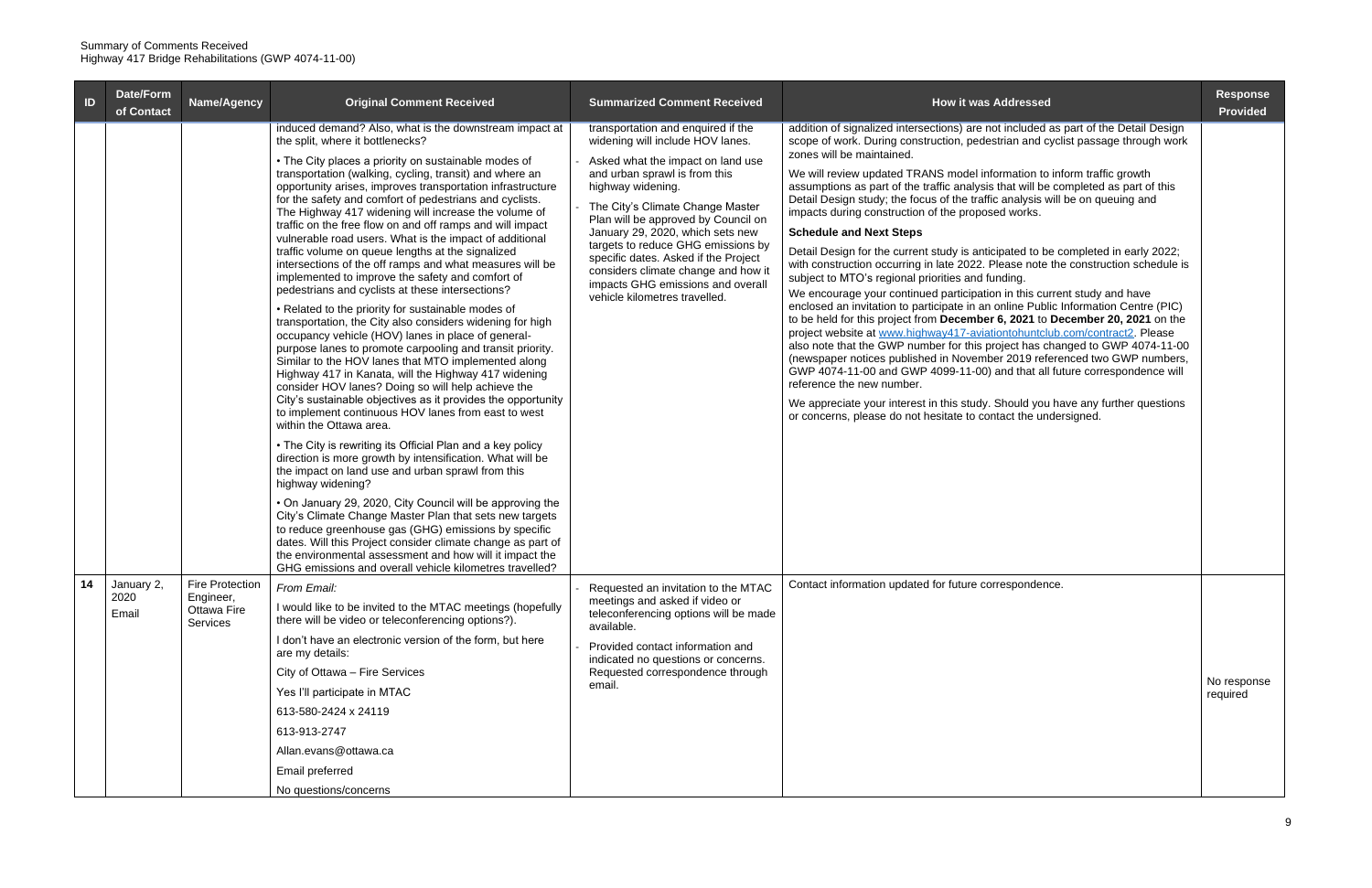| ID | Date/Form<br>of Contact     | Name/Agency                                             | <b>Original Comment Received</b>                                                                                                                                                                                                                                                                                                                                                                                                                                                                                                                                                                                                                                                                                                                                                                                                                                                                                                                                                                                                                                                                                                                                                                                                                                                                                                                                                                                                                                                                                                                                                                                                                                                                                                                                                                                                                                                       | <b>Summarized Comment Received</b>                                                                                                                                                                                                                                                                                                                                                                                                                                          | <b>How it was Addressed</b>                                                                                                                                                                                                                                                                                                                                                                                                                                                                                                                                                                                                                                                                                                                                                                                                                                                                                                                                                                                                                                                                                                                                                                                                                                                                                                                                                                                                                                                                                                                   | <b>Response</b><br><b>Provided</b> |
|----|-----------------------------|---------------------------------------------------------|----------------------------------------------------------------------------------------------------------------------------------------------------------------------------------------------------------------------------------------------------------------------------------------------------------------------------------------------------------------------------------------------------------------------------------------------------------------------------------------------------------------------------------------------------------------------------------------------------------------------------------------------------------------------------------------------------------------------------------------------------------------------------------------------------------------------------------------------------------------------------------------------------------------------------------------------------------------------------------------------------------------------------------------------------------------------------------------------------------------------------------------------------------------------------------------------------------------------------------------------------------------------------------------------------------------------------------------------------------------------------------------------------------------------------------------------------------------------------------------------------------------------------------------------------------------------------------------------------------------------------------------------------------------------------------------------------------------------------------------------------------------------------------------------------------------------------------------------------------------------------------------|-----------------------------------------------------------------------------------------------------------------------------------------------------------------------------------------------------------------------------------------------------------------------------------------------------------------------------------------------------------------------------------------------------------------------------------------------------------------------------|-----------------------------------------------------------------------------------------------------------------------------------------------------------------------------------------------------------------------------------------------------------------------------------------------------------------------------------------------------------------------------------------------------------------------------------------------------------------------------------------------------------------------------------------------------------------------------------------------------------------------------------------------------------------------------------------------------------------------------------------------------------------------------------------------------------------------------------------------------------------------------------------------------------------------------------------------------------------------------------------------------------------------------------------------------------------------------------------------------------------------------------------------------------------------------------------------------------------------------------------------------------------------------------------------------------------------------------------------------------------------------------------------------------------------------------------------------------------------------------------------------------------------------------------------|------------------------------------|
|    |                             |                                                         | induced demand? Also, what is the downstream impact at<br>the split, where it bottlenecks?<br>• The City places a priority on sustainable modes of<br>transportation (walking, cycling, transit) and where an<br>opportunity arises, improves transportation infrastructure<br>for the safety and comfort of pedestrians and cyclists.<br>The Highway 417 widening will increase the volume of<br>traffic on the free flow on and off ramps and will impact<br>vulnerable road users. What is the impact of additional<br>traffic volume on queue lengths at the signalized<br>intersections of the off ramps and what measures will be<br>implemented to improve the safety and comfort of<br>pedestrians and cyclists at these intersections?<br>• Related to the priority for sustainable modes of<br>transportation, the City also considers widening for high<br>occupancy vehicle (HOV) lanes in place of general-<br>purpose lanes to promote carpooling and transit priority.<br>Similar to the HOV lanes that MTO implemented along<br>Highway 417 in Kanata, will the Highway 417 widening<br>consider HOV lanes? Doing so will help achieve the<br>City's sustainable objectives as it provides the opportunity<br>to implement continuous HOV lanes from east to west<br>within the Ottawa area.<br>• The City is rewriting its Official Plan and a key policy<br>direction is more growth by intensification. What will be<br>the impact on land use and urban sprawl from this<br>highway widening?<br>. On January 29, 2020, City Council will be approving the<br>City's Climate Change Master Plan that sets new targets<br>to reduce greenhouse gas (GHG) emissions by specific<br>dates. Will this Project consider climate change as part of<br>the environmental assessment and how will it impact the<br>GHG emissions and overall vehicle kilometres travelled? | transportation and enquired if the<br>widening will include HOV lanes.<br>Asked what the impact on land use<br>and urban sprawl is from this<br>highway widening.<br>The City's Climate Change Master<br>Plan will be approved by Council on<br>January 29, 2020, which sets new<br>targets to reduce GHG emissions by<br>specific dates. Asked if the Project<br>considers climate change and how it<br>impacts GHG emissions and overall<br>vehicle kilometres travelled. | addition of signalized intersections) are not included as part of the Detail Design<br>scope of work. During construction, pedestrian and cyclist passage through work<br>zones will be maintained.<br>We will review updated TRANS model information to inform traffic growth<br>assumptions as part of the traffic analysis that will be completed as part of this<br>Detail Design study; the focus of the traffic analysis will be on queuing and<br>impacts during construction of the proposed works.<br><b>Schedule and Next Steps</b><br>Detail Design for the current study is anticipated to be completed in early 2022;<br>with construction occurring in late 2022. Please note the construction schedule is<br>subject to MTO's regional priorities and funding.<br>We encourage your continued participation in this current study and have<br>enclosed an invitation to participate in an online Public Information Centre (PIC)<br>to be held for this project from December 6, 2021 to December 20, 2021 on the<br>project website at www.highway417-aviationtohuntclub.com/contract2. Please<br>also note that the GWP number for this project has changed to GWP 4074-11-00<br>(newspaper notices published in November 2019 referenced two GWP numbers,<br>GWP 4074-11-00 and GWP 4099-11-00) and that all future correspondence will<br>reference the new number.<br>We appreciate your interest in this study. Should you have any further questions<br>or concerns, please do not hesitate to contact the undersigned. |                                    |
| 14 | January 2,<br>2020<br>Email | Fire Protection<br>Engineer,<br>Ottawa Fire<br>Services | From Email:<br>I would like to be invited to the MTAC meetings (hopefully<br>there will be video or teleconferencing options?).<br>I don't have an electronic version of the form, but here<br>are my details:<br>City of Ottawa - Fire Services<br>Yes I'll participate in MTAC<br>613-580-2424 x 24119<br>613-913-2747<br>Allan.evans@ottawa.ca<br>Email preferred<br>No questions/concerns                                                                                                                                                                                                                                                                                                                                                                                                                                                                                                                                                                                                                                                                                                                                                                                                                                                                                                                                                                                                                                                                                                                                                                                                                                                                                                                                                                                                                                                                                          | Requested an invitation to the MTAC<br>meetings and asked if video or<br>teleconferencing options will be made<br>available.<br>Provided contact information and<br>indicated no questions or concerns.<br>Requested correspondence through<br>email.                                                                                                                                                                                                                       | Contact information updated for future correspondence.                                                                                                                                                                                                                                                                                                                                                                                                                                                                                                                                                                                                                                                                                                                                                                                                                                                                                                                                                                                                                                                                                                                                                                                                                                                                                                                                                                                                                                                                                        | No response<br>required            |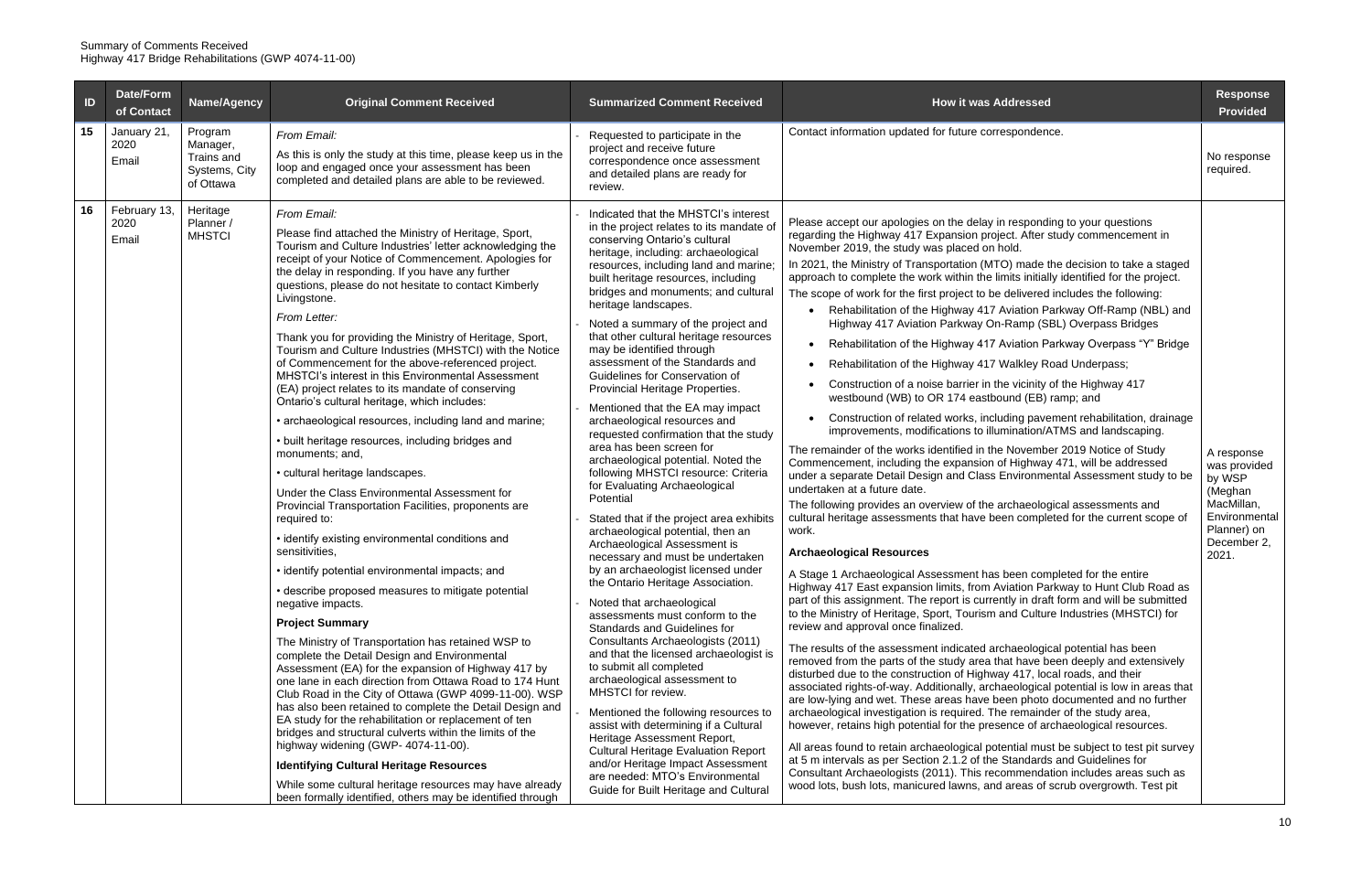| $\blacksquare$ | Date/Form<br>of Contact       | Name/Agency                                                     | <b>Original Comment Received</b>                                                                                                                                                                                                                                                                                                                                                                                                                                                                                                                                                                                                                                                                                                                                                                                                                                                                                                                                                                                                                                                                                                                                                                                                                                                                                                                                                                                                                                                                                                                                                                                                                                                                                                                                                                                                                                                            | <b>Summarized Comment Received</b>                                                                                                                                                                                                                                                                                                                                                                                                                                                                                                                                                                                                                                                                                                                                                                                                                                                                                                                                                                                                                                                                                                                                                                                                                                                                                                                                                                                                                                                                                                                                               | <b>How it was Addressed</b>                                                                                                                                                                                                                                                                                                                                                                                                                                                                                                                                                                                                                                                                                                                                                                                                                                                                                                                                                                                                                                                                                                                                                                                                                                                                                                                                                                                                                                                                                                                                                                                                                                                                                                                                                                                                                                                                                                                                                                                                                                                                                                                                                                                                                                                                                                                                                                                                                                                                                                                                                                                                                                                                                                                                                                                                                                                       | <b>Response</b><br><b>Provided</b>                                                                                    |
|----------------|-------------------------------|-----------------------------------------------------------------|---------------------------------------------------------------------------------------------------------------------------------------------------------------------------------------------------------------------------------------------------------------------------------------------------------------------------------------------------------------------------------------------------------------------------------------------------------------------------------------------------------------------------------------------------------------------------------------------------------------------------------------------------------------------------------------------------------------------------------------------------------------------------------------------------------------------------------------------------------------------------------------------------------------------------------------------------------------------------------------------------------------------------------------------------------------------------------------------------------------------------------------------------------------------------------------------------------------------------------------------------------------------------------------------------------------------------------------------------------------------------------------------------------------------------------------------------------------------------------------------------------------------------------------------------------------------------------------------------------------------------------------------------------------------------------------------------------------------------------------------------------------------------------------------------------------------------------------------------------------------------------------------|----------------------------------------------------------------------------------------------------------------------------------------------------------------------------------------------------------------------------------------------------------------------------------------------------------------------------------------------------------------------------------------------------------------------------------------------------------------------------------------------------------------------------------------------------------------------------------------------------------------------------------------------------------------------------------------------------------------------------------------------------------------------------------------------------------------------------------------------------------------------------------------------------------------------------------------------------------------------------------------------------------------------------------------------------------------------------------------------------------------------------------------------------------------------------------------------------------------------------------------------------------------------------------------------------------------------------------------------------------------------------------------------------------------------------------------------------------------------------------------------------------------------------------------------------------------------------------|-----------------------------------------------------------------------------------------------------------------------------------------------------------------------------------------------------------------------------------------------------------------------------------------------------------------------------------------------------------------------------------------------------------------------------------------------------------------------------------------------------------------------------------------------------------------------------------------------------------------------------------------------------------------------------------------------------------------------------------------------------------------------------------------------------------------------------------------------------------------------------------------------------------------------------------------------------------------------------------------------------------------------------------------------------------------------------------------------------------------------------------------------------------------------------------------------------------------------------------------------------------------------------------------------------------------------------------------------------------------------------------------------------------------------------------------------------------------------------------------------------------------------------------------------------------------------------------------------------------------------------------------------------------------------------------------------------------------------------------------------------------------------------------------------------------------------------------------------------------------------------------------------------------------------------------------------------------------------------------------------------------------------------------------------------------------------------------------------------------------------------------------------------------------------------------------------------------------------------------------------------------------------------------------------------------------------------------------------------------------------------------------------------------------------------------------------------------------------------------------------------------------------------------------------------------------------------------------------------------------------------------------------------------------------------------------------------------------------------------------------------------------------------------------------------------------------------------------------------------------------------------|-----------------------------------------------------------------------------------------------------------------------|
| 15             | January 21,<br>2020<br>Email  | Program<br>Manager,<br>Trains and<br>Systems, City<br>of Ottawa | From Email:<br>As this is only the study at this time, please keep us in the<br>loop and engaged once your assessment has been<br>completed and detailed plans are able to be reviewed.                                                                                                                                                                                                                                                                                                                                                                                                                                                                                                                                                                                                                                                                                                                                                                                                                                                                                                                                                                                                                                                                                                                                                                                                                                                                                                                                                                                                                                                                                                                                                                                                                                                                                                     | Requested to participate in the<br>project and receive future<br>correspondence once assessment<br>and detailed plans are ready for<br>review.                                                                                                                                                                                                                                                                                                                                                                                                                                                                                                                                                                                                                                                                                                                                                                                                                                                                                                                                                                                                                                                                                                                                                                                                                                                                                                                                                                                                                                   | Contact information updated for future correspondence.                                                                                                                                                                                                                                                                                                                                                                                                                                                                                                                                                                                                                                                                                                                                                                                                                                                                                                                                                                                                                                                                                                                                                                                                                                                                                                                                                                                                                                                                                                                                                                                                                                                                                                                                                                                                                                                                                                                                                                                                                                                                                                                                                                                                                                                                                                                                                                                                                                                                                                                                                                                                                                                                                                                                                                                                                            | No response<br>required.                                                                                              |
| 16             | February 13,<br>2020<br>Email | Heritage<br>Planner /<br><b>MHSTCI</b>                          | From Email:<br>Please find attached the Ministry of Heritage, Sport,<br>Tourism and Culture Industries' letter acknowledging the<br>receipt of your Notice of Commencement. Apologies for<br>the delay in responding. If you have any further<br>questions, please do not hesitate to contact Kimberly<br>Livingstone.<br>From Letter:<br>Thank you for providing the Ministry of Heritage, Sport,<br>Tourism and Culture Industries (MHSTCI) with the Notice<br>of Commencement for the above-referenced project.<br>MHSTCI's interest in this Environmental Assessment<br>(EA) project relates to its mandate of conserving<br>Ontario's cultural heritage, which includes:<br>• archaeological resources, including land and marine;<br>• built heritage resources, including bridges and<br>monuments; and,<br>• cultural heritage landscapes.<br>Under the Class Environmental Assessment for<br>Provincial Transportation Facilities, proponents are<br>required to:<br>• identify existing environmental conditions and<br>sensitivities,<br>• identify potential environmental impacts; and<br>• describe proposed measures to mitigate potential<br>negative impacts.<br><b>Project Summary</b><br>The Ministry of Transportation has retained WSP to<br>complete the Detail Design and Environmental<br>Assessment (EA) for the expansion of Highway 417 by<br>one lane in each direction from Ottawa Road to 174 Hunt<br>Club Road in the City of Ottawa (GWP 4099-11-00). WSP<br>has also been retained to complete the Detail Design and<br>EA study for the rehabilitation or replacement of ten<br>bridges and structural culverts within the limits of the<br>highway widening (GWP-4074-11-00).<br><b>Identifying Cultural Heritage Resources</b><br>While some cultural heritage resources may have already<br>been formally identified, others may be identified through | Indicated that the MHSTCI's interest<br>in the project relates to its mandate of<br>conserving Ontario's cultural<br>heritage, including: archaeological<br>resources, including land and marine;<br>built heritage resources, including<br>bridges and monuments; and cultural<br>heritage landscapes.<br>Noted a summary of the project and<br>that other cultural heritage resources<br>may be identified through<br>assessment of the Standards and<br>Guidelines for Conservation of<br>Provincial Heritage Properties.<br>Mentioned that the EA may impact<br>archaeological resources and<br>requested confirmation that the study<br>area has been screen for<br>archaeological potential. Noted the<br>following MHSTCI resource: Criteria<br>for Evaluating Archaeological<br>Potential<br>Stated that if the project area exhibits<br>archaeological potential, then an<br>Archaeological Assessment is<br>necessary and must be undertaken<br>by an archaeologist licensed under<br>the Ontario Heritage Association.<br>Noted that archaeological<br>assessments must conform to the<br>Standards and Guidelines for<br>Consultants Archaeologists (2011)<br>and that the licensed archaeologist is<br>to submit all completed<br>archaeological assessment to<br>MHSTCI for review.<br>Mentioned the following resources to<br>assist with determining if a Cultural<br>Heritage Assessment Report,<br><b>Cultural Heritage Evaluation Report</b><br>and/or Heritage Impact Assessment<br>are needed: MTO's Environmental<br>Guide for Built Heritage and Cultural | Please accept our apologies on the delay in responding to your questions<br>regarding the Highway 417 Expansion project. After study commencement in<br>November 2019, the study was placed on hold.<br>In 2021, the Ministry of Transportation (MTO) made the decision to take a staged<br>approach to complete the work within the limits initially identified for the project.<br>The scope of work for the first project to be delivered includes the following:<br>Rehabilitation of the Highway 417 Aviation Parkway Off-Ramp (NBL) and<br>$\bullet$<br>Highway 417 Aviation Parkway On-Ramp (SBL) Overpass Bridges<br>Rehabilitation of the Highway 417 Aviation Parkway Overpass "Y" Bridge<br>$\bullet$<br>Rehabilitation of the Highway 417 Walkley Road Underpass;<br>$\bullet$<br>Construction of a noise barrier in the vicinity of the Highway 417<br>westbound (WB) to OR 174 eastbound (EB) ramp; and<br>Construction of related works, including pavement rehabilitation, drainage<br>$\bullet$<br>improvements, modifications to illumination/ATMS and landscaping.<br>The remainder of the works identified in the November 2019 Notice of Study<br>Commencement, including the expansion of Highway 471, will be addressed<br>under a separate Detail Design and Class Environmental Assessment study to be<br>undertaken at a future date.<br>The following provides an overview of the archaeological assessments and<br>cultural heritage assessments that have been completed for the current scope of<br>work.<br><b>Archaeological Resources</b><br>A Stage 1 Archaeological Assessment has been completed for the entire<br>Highway 417 East expansion limits, from Aviation Parkway to Hunt Club Road as<br>part of this assignment. The report is currently in draft form and will be submitted<br>to the Ministry of Heritage, Sport, Tourism and Culture Industries (MHSTCI) for<br>review and approval once finalized.<br>The results of the assessment indicated archaeological potential has been<br>removed from the parts of the study area that have been deeply and extensively<br>disturbed due to the construction of Highway 417, local roads, and their<br>associated rights-of-way. Additionally, archaeological potential is low in areas that<br>are low-lying and wet. These areas have been photo documented and no further<br>archaeological investigation is required. The remainder of the study area,<br>however, retains high potential for the presence of archaeological resources.<br>All areas found to retain archaeological potential must be subject to test pit survey<br>at 5 m intervals as per Section 2.1.2 of the Standards and Guidelines for<br>Consultant Archaeologists (2011). This recommendation includes areas such as<br>wood lots, bush lots, manicured lawns, and areas of scrub overgrowth. Test pit | A response<br>was provided<br>by WSP<br>(Meghan<br>MacMillan,<br>Environmental<br>Planner) on<br>December 2,<br>2021. |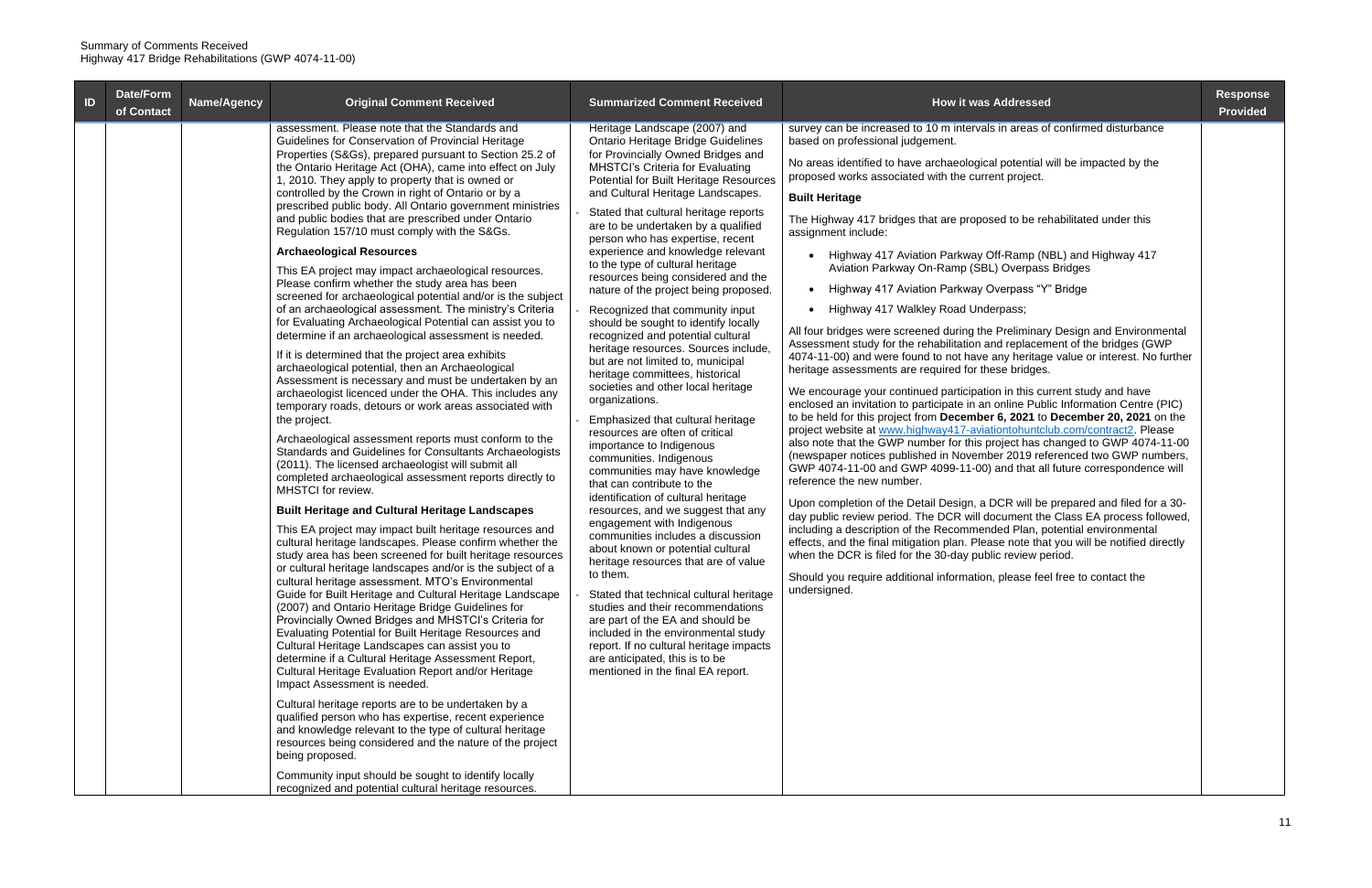| $\blacksquare$ | Date/Form<br>of Contact | Name/Agency | <b>Original Comment Received</b>                                                                                                                                                                                                                                                                                                                                                                                                                                                                                                                                                                                                                                                                                                                                                                                                                                                                                                                                                                                                                                                                                                                                                                                                                                                                                                                                                                                                                                                                                                                                                                                                                                                                                                                                                                                                                                                                                                                                                                                                                                                                                                                                                                                                                                                                                                                                                                                                                                                                                                                                                               | <b>Summarized Comment Received</b>                                                                                                                                                                                                                                                                                                                                                                                                                                                                                                                                                                                                                                                                                                                                                                                                                                                                                                                                                                                                                                                                                                                                                                                                                                                                                                                                                                                                                                                                                                  | <b>How it was Addressed</b>                                                                                                                                                                                                                                                                                                                                                                                                                                                                                                                                                                                                                                                                                                                                                                                                                                                                                                                                                                                                                                                                                                                                                                                                                                                                                                                                                                                                                                                                                                                                                                                                                                                                                                                                                                                                                                                                                                                                                                                                    | <b>Response</b><br><b>Provided</b> |
|----------------|-------------------------|-------------|------------------------------------------------------------------------------------------------------------------------------------------------------------------------------------------------------------------------------------------------------------------------------------------------------------------------------------------------------------------------------------------------------------------------------------------------------------------------------------------------------------------------------------------------------------------------------------------------------------------------------------------------------------------------------------------------------------------------------------------------------------------------------------------------------------------------------------------------------------------------------------------------------------------------------------------------------------------------------------------------------------------------------------------------------------------------------------------------------------------------------------------------------------------------------------------------------------------------------------------------------------------------------------------------------------------------------------------------------------------------------------------------------------------------------------------------------------------------------------------------------------------------------------------------------------------------------------------------------------------------------------------------------------------------------------------------------------------------------------------------------------------------------------------------------------------------------------------------------------------------------------------------------------------------------------------------------------------------------------------------------------------------------------------------------------------------------------------------------------------------------------------------------------------------------------------------------------------------------------------------------------------------------------------------------------------------------------------------------------------------------------------------------------------------------------------------------------------------------------------------------------------------------------------------------------------------------------------------|-------------------------------------------------------------------------------------------------------------------------------------------------------------------------------------------------------------------------------------------------------------------------------------------------------------------------------------------------------------------------------------------------------------------------------------------------------------------------------------------------------------------------------------------------------------------------------------------------------------------------------------------------------------------------------------------------------------------------------------------------------------------------------------------------------------------------------------------------------------------------------------------------------------------------------------------------------------------------------------------------------------------------------------------------------------------------------------------------------------------------------------------------------------------------------------------------------------------------------------------------------------------------------------------------------------------------------------------------------------------------------------------------------------------------------------------------------------------------------------------------------------------------------------|--------------------------------------------------------------------------------------------------------------------------------------------------------------------------------------------------------------------------------------------------------------------------------------------------------------------------------------------------------------------------------------------------------------------------------------------------------------------------------------------------------------------------------------------------------------------------------------------------------------------------------------------------------------------------------------------------------------------------------------------------------------------------------------------------------------------------------------------------------------------------------------------------------------------------------------------------------------------------------------------------------------------------------------------------------------------------------------------------------------------------------------------------------------------------------------------------------------------------------------------------------------------------------------------------------------------------------------------------------------------------------------------------------------------------------------------------------------------------------------------------------------------------------------------------------------------------------------------------------------------------------------------------------------------------------------------------------------------------------------------------------------------------------------------------------------------------------------------------------------------------------------------------------------------------------------------------------------------------------------------------------------------------------|------------------------------------|
|                |                         |             | assessment. Please note that the Standards and<br>Guidelines for Conservation of Provincial Heritage<br>Properties (S&Gs), prepared pursuant to Section 25.2 of<br>the Ontario Heritage Act (OHA), came into effect on July<br>1, 2010. They apply to property that is owned or<br>controlled by the Crown in right of Ontario or by a<br>prescribed public body. All Ontario government ministries<br>and public bodies that are prescribed under Ontario<br>Regulation 157/10 must comply with the S&Gs.<br><b>Archaeological Resources</b><br>This EA project may impact archaeological resources.<br>Please confirm whether the study area has been<br>screened for archaeological potential and/or is the subject<br>of an archaeological assessment. The ministry's Criteria<br>for Evaluating Archaeological Potential can assist you to<br>determine if an archaeological assessment is needed.<br>If it is determined that the project area exhibits<br>archaeological potential, then an Archaeological<br>Assessment is necessary and must be undertaken by an<br>archaeologist licenced under the OHA. This includes any<br>temporary roads, detours or work areas associated with<br>the project.<br>Archaeological assessment reports must conform to the<br>Standards and Guidelines for Consultants Archaeologists<br>(2011). The licensed archaeologist will submit all<br>completed archaeological assessment reports directly to<br>MHSTCI for review.<br><b>Built Heritage and Cultural Heritage Landscapes</b><br>This EA project may impact built heritage resources and<br>cultural heritage landscapes. Please confirm whether the<br>study area has been screened for built heritage resources<br>or cultural heritage landscapes and/or is the subject of a<br>cultural heritage assessment. MTO's Environmental<br>Guide for Built Heritage and Cultural Heritage Landscape<br>(2007) and Ontario Heritage Bridge Guidelines for<br>Provincially Owned Bridges and MHSTCI's Criteria for<br>Evaluating Potential for Built Heritage Resources and<br>Cultural Heritage Landscapes can assist you to<br>determine if a Cultural Heritage Assessment Report,<br>Cultural Heritage Evaluation Report and/or Heritage<br>Impact Assessment is needed.<br>Cultural heritage reports are to be undertaken by a<br>qualified person who has expertise, recent experience<br>and knowledge relevant to the type of cultural heritage<br>resources being considered and the nature of the project<br>being proposed.<br>Community input should be sought to identify locally | Heritage Landscape (2007) and<br>Ontario Heritage Bridge Guidelines<br>for Provincially Owned Bridges and<br><b>MHSTCI's Criteria for Evaluating</b><br><b>Potential for Built Heritage Resources</b><br>and Cultural Heritage Landscapes.<br>Stated that cultural heritage reports<br>are to be undertaken by a qualified<br>person who has expertise, recent<br>experience and knowledge relevant<br>to the type of cultural heritage<br>resources being considered and the<br>nature of the project being proposed.<br>Recognized that community input<br>should be sought to identify locally<br>recognized and potential cultural<br>heritage resources. Sources include,<br>but are not limited to, municipal<br>heritage committees, historical<br>societies and other local heritage<br>organizations.<br>Emphasized that cultural heritage<br>resources are often of critical<br>importance to Indigenous<br>communities. Indigenous<br>communities may have knowledge<br>that can contribute to the<br>identification of cultural heritage<br>resources, and we suggest that any<br>engagement with Indigenous<br>communities includes a discussion<br>about known or potential cultural<br>heritage resources that are of value<br>to them.<br>Stated that technical cultural heritage<br>studies and their recommendations<br>are part of the EA and should be<br>included in the environmental study<br>report. If no cultural heritage impacts<br>are anticipated, this is to be<br>mentioned in the final EA report. | survey can be increased to 10 m intervals in areas of confirmed disturbance<br>based on professional judgement.<br>No areas identified to have archaeological potential will be impacted by the<br>proposed works associated with the current project.<br><b>Built Heritage</b><br>The Highway 417 bridges that are proposed to be rehabilitated under this<br>assignment include:<br>Highway 417 Aviation Parkway Off-Ramp (NBL) and Highway 417<br>Aviation Parkway On-Ramp (SBL) Overpass Bridges<br>Highway 417 Aviation Parkway Overpass "Y" Bridge<br>Highway 417 Walkley Road Underpass;<br>All four bridges were screened during the Preliminary Design and Environmental<br>Assessment study for the rehabilitation and replacement of the bridges (GWP<br>4074-11-00) and were found to not have any heritage value or interest. No further<br>heritage assessments are required for these bridges.<br>We encourage your continued participation in this current study and have<br>enclosed an invitation to participate in an online Public Information Centre (PIC)<br>to be held for this project from December 6, 2021 to December 20, 2021 on the<br>project website at www.highway417-aviationtohuntclub.com/contract2. Please<br>also note that the GWP number for this project has changed to GWP 4074-11-00<br>(newspaper notices published in November 2019 referenced two GWP numbers,<br>GWP 4074-11-00 and GWP 4099-11-00) and that all future correspondence will<br>reference the new number.<br>Upon completion of the Detail Design, a DCR will be prepared and filed for a 30-<br>day public review period. The DCR will document the Class EA process followed,<br>including a description of the Recommended Plan, potential environmental<br>effects, and the final mitigation plan. Please note that you will be notified directly<br>when the DCR is filed for the 30-day public review period.<br>Should you require additional information, please feel free to contact the<br>undersigned. |                                    |
|                |                         |             | recognized and potential cultural heritage resources.                                                                                                                                                                                                                                                                                                                                                                                                                                                                                                                                                                                                                                                                                                                                                                                                                                                                                                                                                                                                                                                                                                                                                                                                                                                                                                                                                                                                                                                                                                                                                                                                                                                                                                                                                                                                                                                                                                                                                                                                                                                                                                                                                                                                                                                                                                                                                                                                                                                                                                                                          |                                                                                                                                                                                                                                                                                                                                                                                                                                                                                                                                                                                                                                                                                                                                                                                                                                                                                                                                                                                                                                                                                                                                                                                                                                                                                                                                                                                                                                                                                                                                     |                                                                                                                                                                                                                                                                                                                                                                                                                                                                                                                                                                                                                                                                                                                                                                                                                                                                                                                                                                                                                                                                                                                                                                                                                                                                                                                                                                                                                                                                                                                                                                                                                                                                                                                                                                                                                                                                                                                                                                                                                                |                                    |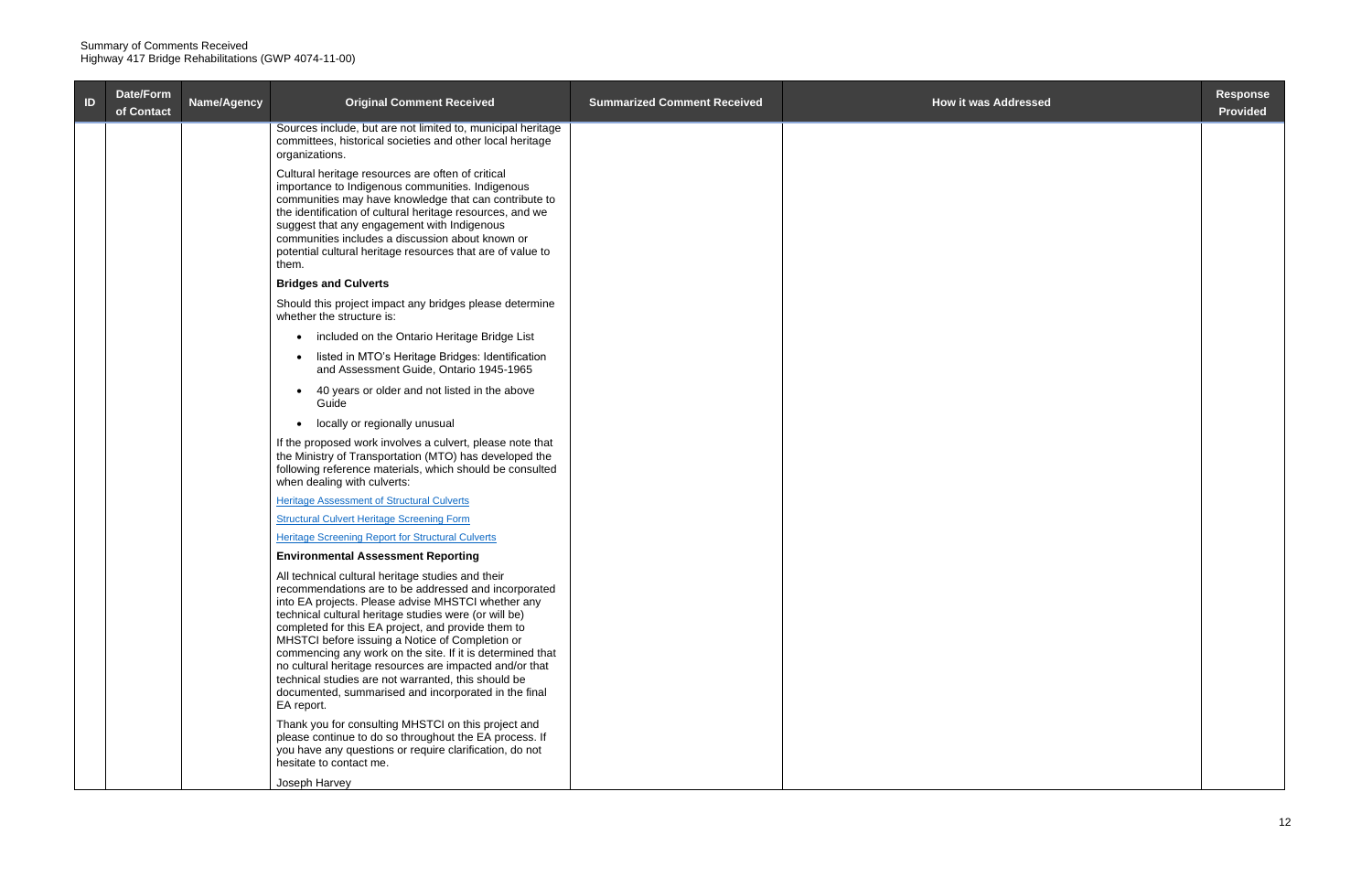| ID | Date/Form<br>of Contact | Name/Agency | <b>Original Comment Received</b>                                                                                                                                                                                                                                                                                                                                                                                                                                                                                                                                                       | <b>Summarized Comment Received</b> | <b>How it was Addressed</b> | <b>Response</b><br><b>Provided</b> |
|----|-------------------------|-------------|----------------------------------------------------------------------------------------------------------------------------------------------------------------------------------------------------------------------------------------------------------------------------------------------------------------------------------------------------------------------------------------------------------------------------------------------------------------------------------------------------------------------------------------------------------------------------------------|------------------------------------|-----------------------------|------------------------------------|
|    |                         |             | Sources include, but are not limited to, municipal heritage<br>committees, historical societies and other local heritage<br>organizations.                                                                                                                                                                                                                                                                                                                                                                                                                                             |                                    |                             |                                    |
|    |                         |             | Cultural heritage resources are often of critical<br>importance to Indigenous communities. Indigenous<br>communities may have knowledge that can contribute to<br>the identification of cultural heritage resources, and we<br>suggest that any engagement with Indigenous<br>communities includes a discussion about known or<br>potential cultural heritage resources that are of value to<br>them.                                                                                                                                                                                  |                                    |                             |                                    |
|    |                         |             | <b>Bridges and Culverts</b>                                                                                                                                                                                                                                                                                                                                                                                                                                                                                                                                                            |                                    |                             |                                    |
|    |                         |             | Should this project impact any bridges please determine<br>whether the structure is:                                                                                                                                                                                                                                                                                                                                                                                                                                                                                                   |                                    |                             |                                    |
|    |                         |             | • included on the Ontario Heritage Bridge List                                                                                                                                                                                                                                                                                                                                                                                                                                                                                                                                         |                                    |                             |                                    |
|    |                         |             | • listed in MTO's Heritage Bridges: Identification<br>and Assessment Guide, Ontario 1945-1965                                                                                                                                                                                                                                                                                                                                                                                                                                                                                          |                                    |                             |                                    |
|    |                         |             | 40 years or older and not listed in the above<br>Guide                                                                                                                                                                                                                                                                                                                                                                                                                                                                                                                                 |                                    |                             |                                    |
|    |                         |             | locally or regionally unusual<br>$\bullet$                                                                                                                                                                                                                                                                                                                                                                                                                                                                                                                                             |                                    |                             |                                    |
|    |                         |             | If the proposed work involves a culvert, please note that<br>the Ministry of Transportation (MTO) has developed the<br>following reference materials, which should be consulted<br>when dealing with culverts:                                                                                                                                                                                                                                                                                                                                                                         |                                    |                             |                                    |
|    |                         |             | <b>Heritage Assessment of Structural Culverts</b>                                                                                                                                                                                                                                                                                                                                                                                                                                                                                                                                      |                                    |                             |                                    |
|    |                         |             | <b>Structural Culvert Heritage Screening Form</b>                                                                                                                                                                                                                                                                                                                                                                                                                                                                                                                                      |                                    |                             |                                    |
|    |                         |             | <b>Heritage Screening Report for Structural Culverts</b>                                                                                                                                                                                                                                                                                                                                                                                                                                                                                                                               |                                    |                             |                                    |
|    |                         |             | <b>Environmental Assessment Reporting</b>                                                                                                                                                                                                                                                                                                                                                                                                                                                                                                                                              |                                    |                             |                                    |
|    |                         |             | All technical cultural heritage studies and their<br>recommendations are to be addressed and incorporated<br>into EA projects. Please advise MHSTCI whether any<br>technical cultural heritage studies were (or will be)<br>completed for this EA project, and provide them to<br>MHSTCI before issuing a Notice of Completion or<br>commencing any work on the site. If it is determined that<br>no cultural heritage resources are impacted and/or that<br>technical studies are not warranted, this should be<br>documented, summarised and incorporated in the final<br>EA report. |                                    |                             |                                    |
|    |                         |             | Thank you for consulting MHSTCI on this project and<br>please continue to do so throughout the EA process. If<br>you have any questions or require clarification, do not<br>hesitate to contact me.                                                                                                                                                                                                                                                                                                                                                                                    |                                    |                             |                                    |
|    |                         |             | Joseph Harvey                                                                                                                                                                                                                                                                                                                                                                                                                                                                                                                                                                          |                                    |                             |                                    |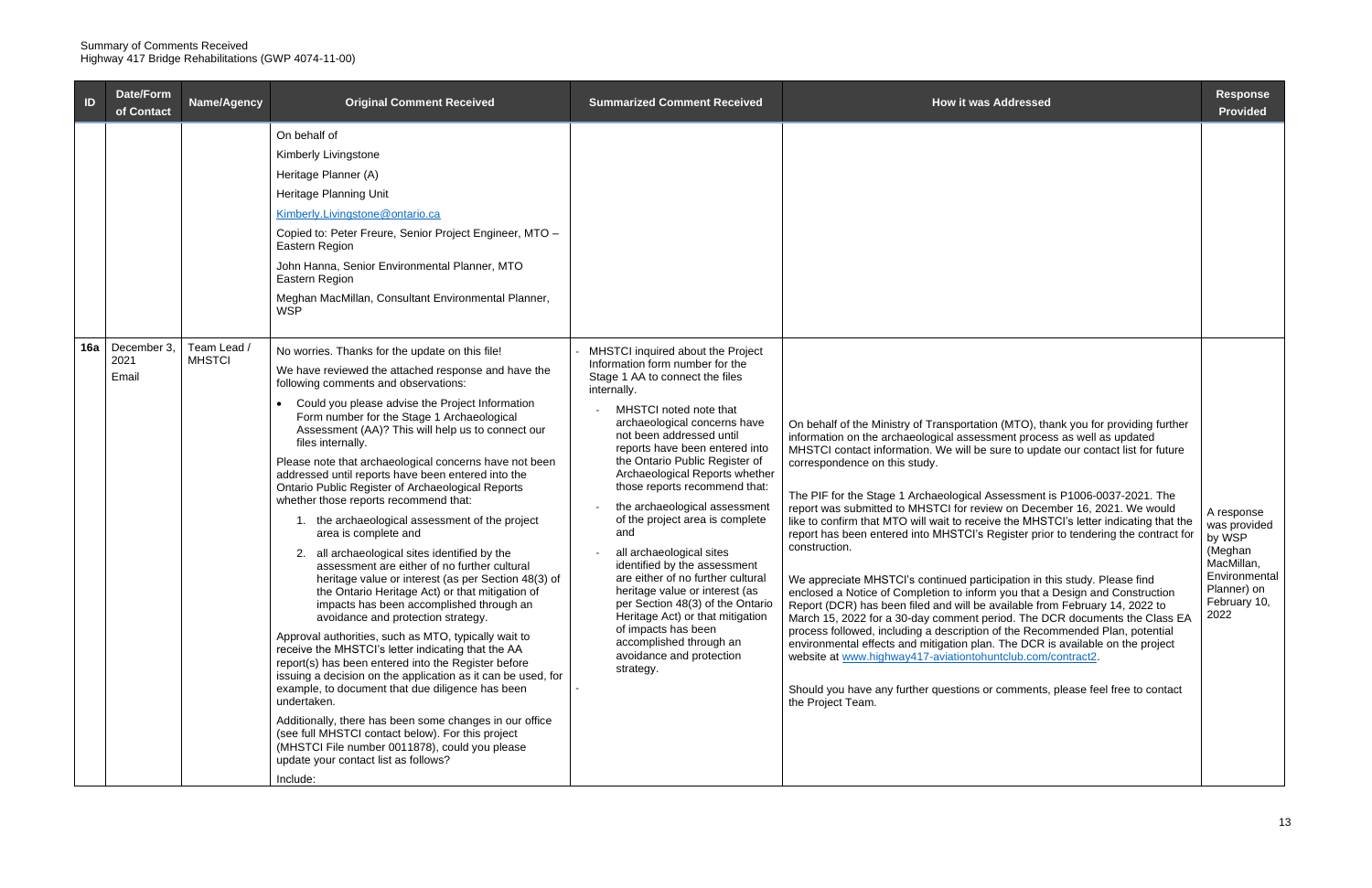| Date/Form<br>$\blacksquare$<br>of Contact | Name/Agency                | <b>Original Comment Received</b>                                                                                                                                                                                                                                                                                                                                                                                                                                                                                                                                                                                                                                                                                                                                                                                                                                                                                                                                                                                                                                                                                                                                                                                                                                                                                                                                                                                                              | <b>Summarized Comment Received</b>                                                                                                                                                                                                                                                                                                                                                                                                                                                                                                                                                                                                                                                                                                   | <b>How it was Addressed</b>                                                                                                                                                                                                                                                                                                                                                                                                                                                                                                                                                                                                                                                                                                                                                                                                                                                                                                                                                                                                                                                                                                                                                                                                                                                                                    | <b>Response</b><br><b>Provided</b>                                                                                    |
|-------------------------------------------|----------------------------|-----------------------------------------------------------------------------------------------------------------------------------------------------------------------------------------------------------------------------------------------------------------------------------------------------------------------------------------------------------------------------------------------------------------------------------------------------------------------------------------------------------------------------------------------------------------------------------------------------------------------------------------------------------------------------------------------------------------------------------------------------------------------------------------------------------------------------------------------------------------------------------------------------------------------------------------------------------------------------------------------------------------------------------------------------------------------------------------------------------------------------------------------------------------------------------------------------------------------------------------------------------------------------------------------------------------------------------------------------------------------------------------------------------------------------------------------|--------------------------------------------------------------------------------------------------------------------------------------------------------------------------------------------------------------------------------------------------------------------------------------------------------------------------------------------------------------------------------------------------------------------------------------------------------------------------------------------------------------------------------------------------------------------------------------------------------------------------------------------------------------------------------------------------------------------------------------|----------------------------------------------------------------------------------------------------------------------------------------------------------------------------------------------------------------------------------------------------------------------------------------------------------------------------------------------------------------------------------------------------------------------------------------------------------------------------------------------------------------------------------------------------------------------------------------------------------------------------------------------------------------------------------------------------------------------------------------------------------------------------------------------------------------------------------------------------------------------------------------------------------------------------------------------------------------------------------------------------------------------------------------------------------------------------------------------------------------------------------------------------------------------------------------------------------------------------------------------------------------------------------------------------------------|-----------------------------------------------------------------------------------------------------------------------|
|                                           |                            | On behalf of<br>Kimberly Livingstone<br>Heritage Planner (A)<br>Heritage Planning Unit<br>Kimberly.Livingstone@ontario.ca<br>Copied to: Peter Freure, Senior Project Engineer, MTO -<br>Eastern Region<br>John Hanna, Senior Environmental Planner, MTO<br>Eastern Region<br>Meghan MacMillan, Consultant Environmental Planner,<br><b>WSP</b>                                                                                                                                                                                                                                                                                                                                                                                                                                                                                                                                                                                                                                                                                                                                                                                                                                                                                                                                                                                                                                                                                                |                                                                                                                                                                                                                                                                                                                                                                                                                                                                                                                                                                                                                                                                                                                                      |                                                                                                                                                                                                                                                                                                                                                                                                                                                                                                                                                                                                                                                                                                                                                                                                                                                                                                                                                                                                                                                                                                                                                                                                                                                                                                                |                                                                                                                       |
| 16a   December 3<br>2021<br>Email         | Team Lead<br><b>MHSTCI</b> | No worries. Thanks for the update on this file!<br>We have reviewed the attached response and have the<br>following comments and observations:<br>Could you please advise the Project Information<br>Form number for the Stage 1 Archaeological<br>Assessment (AA)? This will help us to connect our<br>files internally.<br>Please note that archaeological concerns have not been<br>addressed until reports have been entered into the<br>Ontario Public Register of Archaeological Reports<br>whether those reports recommend that:<br>1. the archaeological assessment of the project<br>area is complete and<br>2. all archaeological sites identified by the<br>assessment are either of no further cultural<br>heritage value or interest (as per Section 48(3) of<br>the Ontario Heritage Act) or that mitigation of<br>impacts has been accomplished through an<br>avoidance and protection strategy.<br>Approval authorities, such as MTO, typically wait to<br>receive the MHSTCI's letter indicating that the AA<br>report(s) has been entered into the Register before<br>issuing a decision on the application as it can be used, for<br>example, to document that due diligence has been<br>undertaken.<br>Additionally, there has been some changes in our office<br>(see full MHSTCI contact below). For this project<br>(MHSTCI File number 0011878), could you please<br>update your contact list as follows?<br>Include: | MHSTCI inquired about the Project<br>Information form number for the<br>Stage 1 AA to connect the files<br>internally.<br>MHSTCI noted note that<br>archaeological concerns have<br>not been addressed until<br>reports have been entered into<br>the Ontario Public Register of<br>Archaeological Reports whether<br>those reports recommend that:<br>the archaeological assessment<br>of the project area is complete<br>and<br>all archaeological sites<br>identified by the assessment<br>are either of no further cultural<br>heritage value or interest (as<br>per Section 48(3) of the Ontario<br>Heritage Act) or that mitigation<br>of impacts has been<br>accomplished through an<br>avoidance and protection<br>strategy. | On behalf of the Ministry of Transportation (MTO), thank you for providing further<br>information on the archaeological assessment process as well as updated<br>MHSTCI contact information. We will be sure to update our contact list for future<br>correspondence on this study.<br>The PIF for the Stage 1 Archaeological Assessment is P1006-0037-2021. The<br>report was submitted to MHSTCI for review on December 16, 2021. We would<br>like to confirm that MTO will wait to receive the MHSTCI's letter indicating that the<br>report has been entered into MHSTCI's Register prior to tendering the contract for<br>construction.<br>We appreciate MHSTCI's continued participation in this study. Please find<br>enclosed a Notice of Completion to inform you that a Design and Construction<br>Report (DCR) has been filed and will be available from February 14, 2022 to<br>March 15, 2022 for a 30-day comment period. The DCR documents the Class EA<br>process followed, including a description of the Recommended Plan, potential<br>environmental effects and mitigation plan. The DCR is available on the project<br>website at www.highway417-aviationtohuntclub.com/contract2.<br>Should you have any further questions or comments, please feel free to contact<br>the Project Team. | A response<br>was provided<br>by WSP<br>(Meghan<br>MacMillan,<br>Environmental<br>Planner) on<br>February 10,<br>2022 |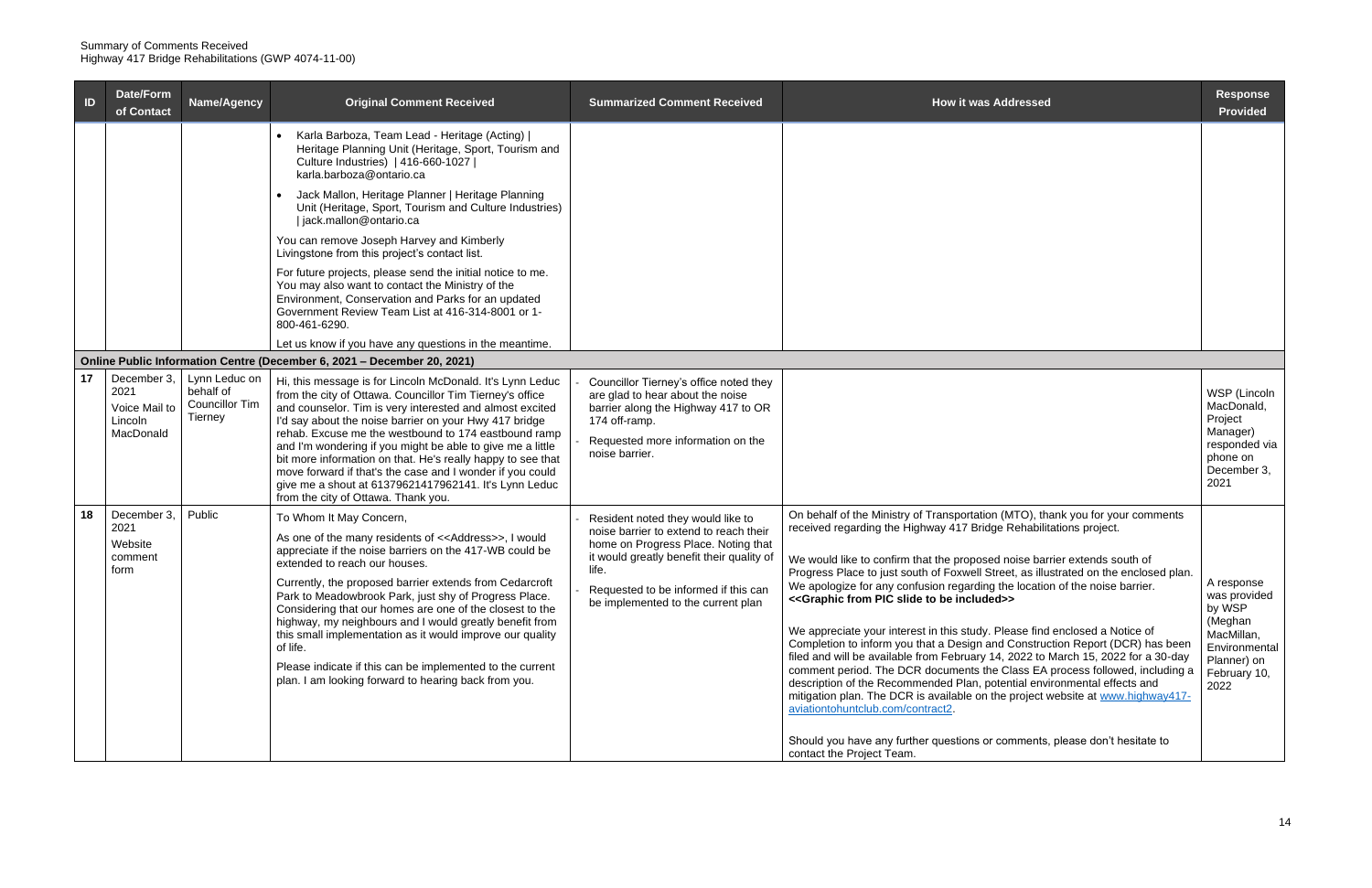| $\blacksquare$ | Date/Form<br>of Contact                                      | Name/Agency                                                    | <b>Original Comment Received</b>                                                                                                                                                                                                                                                                                                                                                                                                                                                                                                                                                                                                             | <b>Summarized Comment Received</b>                                                                                                                                                                                                                     | <b>How it was Addressed</b>                                                                                                                                                                                                                                                                                                                                                                                                                                                                                                                                                                                                                                                                                                                                                                                                                                                                                                                                                                                                                                                                                                                         | <b>Response</b><br><b>Provided</b>                                                                                    |
|----------------|--------------------------------------------------------------|----------------------------------------------------------------|----------------------------------------------------------------------------------------------------------------------------------------------------------------------------------------------------------------------------------------------------------------------------------------------------------------------------------------------------------------------------------------------------------------------------------------------------------------------------------------------------------------------------------------------------------------------------------------------------------------------------------------------|--------------------------------------------------------------------------------------------------------------------------------------------------------------------------------------------------------------------------------------------------------|-----------------------------------------------------------------------------------------------------------------------------------------------------------------------------------------------------------------------------------------------------------------------------------------------------------------------------------------------------------------------------------------------------------------------------------------------------------------------------------------------------------------------------------------------------------------------------------------------------------------------------------------------------------------------------------------------------------------------------------------------------------------------------------------------------------------------------------------------------------------------------------------------------------------------------------------------------------------------------------------------------------------------------------------------------------------------------------------------------------------------------------------------------|-----------------------------------------------------------------------------------------------------------------------|
|                |                                                              |                                                                | Karla Barboza, Team Lead - Heritage (Acting)  <br>Heritage Planning Unit (Heritage, Sport, Tourism and<br>Culture Industries)   416-660-1027  <br>karla.barboza@ontario.ca                                                                                                                                                                                                                                                                                                                                                                                                                                                                   |                                                                                                                                                                                                                                                        |                                                                                                                                                                                                                                                                                                                                                                                                                                                                                                                                                                                                                                                                                                                                                                                                                                                                                                                                                                                                                                                                                                                                                     |                                                                                                                       |
|                |                                                              |                                                                | Jack Mallon, Heritage Planner   Heritage Planning<br>Unit (Heritage, Sport, Tourism and Culture Industries)<br>jack.mallon@ontario.ca                                                                                                                                                                                                                                                                                                                                                                                                                                                                                                        |                                                                                                                                                                                                                                                        |                                                                                                                                                                                                                                                                                                                                                                                                                                                                                                                                                                                                                                                                                                                                                                                                                                                                                                                                                                                                                                                                                                                                                     |                                                                                                                       |
|                |                                                              |                                                                | You can remove Joseph Harvey and Kimberly<br>Livingstone from this project's contact list.                                                                                                                                                                                                                                                                                                                                                                                                                                                                                                                                                   |                                                                                                                                                                                                                                                        |                                                                                                                                                                                                                                                                                                                                                                                                                                                                                                                                                                                                                                                                                                                                                                                                                                                                                                                                                                                                                                                                                                                                                     |                                                                                                                       |
|                |                                                              |                                                                | For future projects, please send the initial notice to me.<br>You may also want to contact the Ministry of the<br>Environment, Conservation and Parks for an updated<br>Government Review Team List at 416-314-8001 or 1-<br>800-461-6290.                                                                                                                                                                                                                                                                                                                                                                                                   |                                                                                                                                                                                                                                                        |                                                                                                                                                                                                                                                                                                                                                                                                                                                                                                                                                                                                                                                                                                                                                                                                                                                                                                                                                                                                                                                                                                                                                     |                                                                                                                       |
|                |                                                              |                                                                | Let us know if you have any questions in the meantime.                                                                                                                                                                                                                                                                                                                                                                                                                                                                                                                                                                                       |                                                                                                                                                                                                                                                        |                                                                                                                                                                                                                                                                                                                                                                                                                                                                                                                                                                                                                                                                                                                                                                                                                                                                                                                                                                                                                                                                                                                                                     |                                                                                                                       |
|                |                                                              |                                                                | Online Public Information Centre (December 6, 2021 - December 20, 2021)                                                                                                                                                                                                                                                                                                                                                                                                                                                                                                                                                                      |                                                                                                                                                                                                                                                        |                                                                                                                                                                                                                                                                                                                                                                                                                                                                                                                                                                                                                                                                                                                                                                                                                                                                                                                                                                                                                                                                                                                                                     |                                                                                                                       |
| 17             | December 3,<br>2021<br>Voice Mail to<br>Lincoln<br>MacDonald | Lynn Leduc on<br>behalf of<br><b>Councillor Tim</b><br>Tierney | Hi, this message is for Lincoln McDonald. It's Lynn Leduc<br>from the city of Ottawa. Councillor Tim Tierney's office<br>and counselor. Tim is very interested and almost excited<br>I'd say about the noise barrier on your Hwy 417 bridge<br>rehab. Excuse me the westbound to 174 eastbound ramp<br>and I'm wondering if you might be able to give me a little<br>bit more information on that. He's really happy to see that<br>move forward if that's the case and I wonder if you could<br>give me a shout at 61379621417962141. It's Lynn Leduc<br>from the city of Ottawa. Thank you.                                                | Councillor Tierney's office noted they<br>are glad to hear about the noise<br>barrier along the Highway 417 to OR<br>174 off-ramp.<br>Requested more information on the<br>noise barrier.                                                              |                                                                                                                                                                                                                                                                                                                                                                                                                                                                                                                                                                                                                                                                                                                                                                                                                                                                                                                                                                                                                                                                                                                                                     | WSP (Lincoln<br>MacDonald,<br>Project<br>Manager)<br>responded via<br>phone on<br>December 3,<br>2021                 |
| 18             | December 3,<br>2021<br>Website<br>comment<br>form            | Public                                                         | To Whom It May Concern,<br>As one of the many residents of < <address>&gt;, I would<br/>appreciate if the noise barriers on the 417-WB could be<br/>extended to reach our houses.<br/>Currently, the proposed barrier extends from Cedarcroft<br/>Park to Meadowbrook Park, just shy of Progress Place.<br/>Considering that our homes are one of the closest to the<br/>highway, my neighbours and I would greatly benefit from<br/>this small implementation as it would improve our quality<br/>of life.<br/>Please indicate if this can be implemented to the current<br/>plan. I am looking forward to hearing back from you.</address> | Resident noted they would like to<br>noise barrier to extend to reach their<br>home on Progress Place. Noting that<br>it would greatly benefit their quality of<br>life.<br>Requested to be informed if this can<br>be implemented to the current plan | On behalf of the Ministry of Transportation (MTO), thank you for your comments<br>received regarding the Highway 417 Bridge Rehabilitations project.<br>We would like to confirm that the proposed noise barrier extends south of<br>Progress Place to just south of Foxwell Street, as illustrated on the enclosed plan.<br>We apologize for any confusion regarding the location of the noise barrier.<br>< <graphic be="" from="" included="" pic="" slide="" to="">&gt;<br/>We appreciate your interest in this study. Please find enclosed a Notice of<br/>Completion to inform you that a Design and Construction Report (DCR) has been<br/>filed and will be available from February 14, 2022 to March 15, 2022 for a 30-day<br/>comment period. The DCR documents the Class EA process followed, including a<br/>description of the Recommended Plan, potential environmental effects and<br/>mitigation plan. The DCR is available on the project website at www.highway417-<br/>aviationtohuntclub.com/contract2.<br/>Should you have any further questions or comments, please don't hesitate to<br/>contact the Project Team.</graphic> | A response<br>was provided<br>by WSP<br>(Meghan<br>MacMillan,<br>Environmental<br>Planner) on<br>February 10,<br>2022 |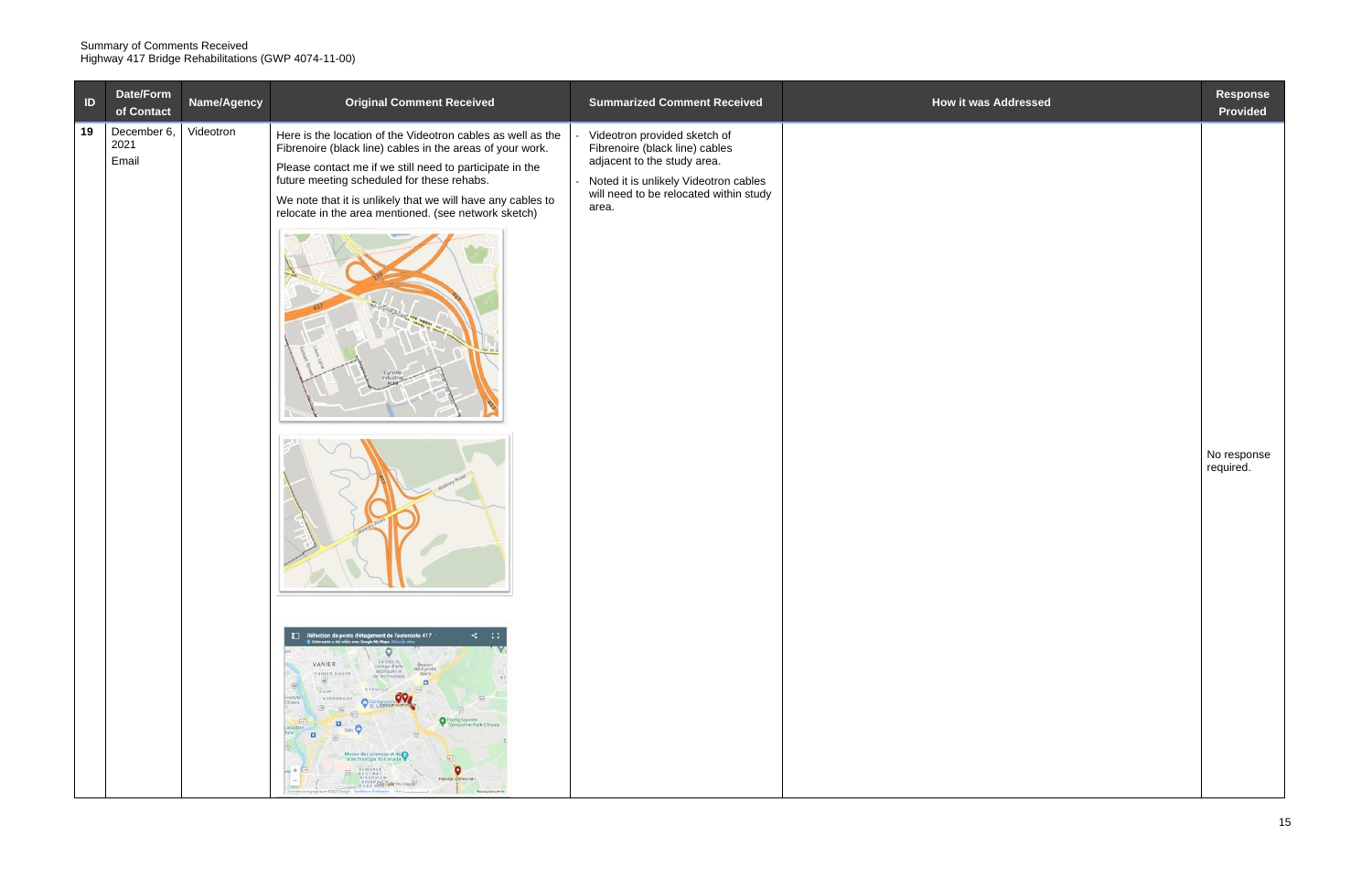| $\overline{D}$ | Date/Form<br>of Contact      | Name/Agency | <b>Original Comment Received</b>                                                                                                                                                                                                                                                                                                                                                                                                                                                                                                                                                                                                                                                                                                                                                                                                                                                                                                                                                                                                                                                                                                                                                                             | <b>Summarized Comment Received</b>                                                                                                                                                        | <b>How it was Addressed</b> | Response<br>Provided     |
|----------------|------------------------------|-------------|--------------------------------------------------------------------------------------------------------------------------------------------------------------------------------------------------------------------------------------------------------------------------------------------------------------------------------------------------------------------------------------------------------------------------------------------------------------------------------------------------------------------------------------------------------------------------------------------------------------------------------------------------------------------------------------------------------------------------------------------------------------------------------------------------------------------------------------------------------------------------------------------------------------------------------------------------------------------------------------------------------------------------------------------------------------------------------------------------------------------------------------------------------------------------------------------------------------|-------------------------------------------------------------------------------------------------------------------------------------------------------------------------------------------|-----------------------------|--------------------------|
| 19             | December 6,<br>2021<br>Email | Videotron   | Here is the location of the Videotron cables as well as the<br>Fibrenoire (black line) cables in the areas of your work.<br>Please contact me if we still need to participate in the<br>future meeting scheduled for these rehabs.<br>We note that it is unlikely that we will have any cables to<br>relocate in the area mentioned. (see network sketch)<br>$\leq$ $\approx$<br>Réfection de ponts d'étagement de l'autoroute 417<br>L'ons cets a rel crite avec Google My Maps, Crite is nous<br>$\circ$<br>La Cité, le<br>VANIER<br>Beacon<br>college d'arts<br>Hill-Cycylle<br>appliques et<br>VANISH SOUTH<br>Ward<br>de technologie<br>网<br>$\Box$<br>圖<br>$\sim$<br>CYRVILLE<br>(136)<br>994<br>Hypersité <sup>12</sup><br>OVERBROOK<br>Ottawa<br>$\overline{\mathcal{M}}$<br>$-96$<br>(412)<br>Pilying Squirrel<br>$-417$<br>$\Box$<br>Trampoline Park Ottawa<br><b>SAIL</b><br>neibens:<br>$\Box$<br>Musée des sciences et de<br>- la technologie du Canada<br>ELMYALE -<br>$\bullet$<br>$km + \Box$<br>THE EASTWAY.<br>BIVERVIEW -<br>: Passage inférieur de l.<br>$\sim$<br><b>RIVER Google My Maps</b><br>-<br>Donate cartographies \$2021 Dolgle Cardiove Catherine 1 km L<br>Recognition clave | Videotron provided sketch of<br>Fibrenoire (black line) cables<br>adjacent to the study area.<br>Noted it is unlikely Videotron cables<br>will need to be relocated within study<br>area. |                             | No response<br>required. |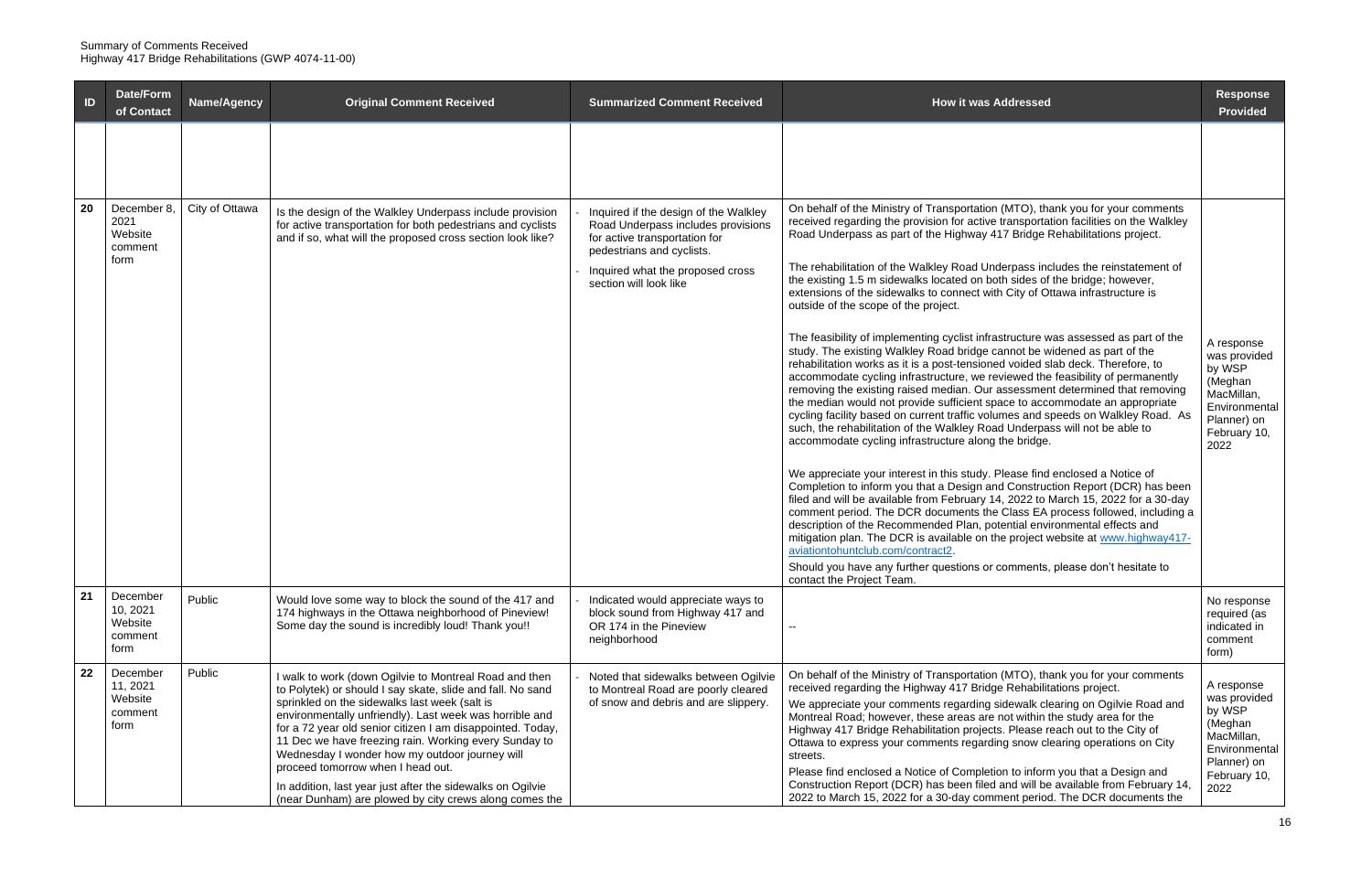| ID | Date/Form<br>of Contact                            | <b>Name/Agency</b> | <b>Original Comment Received</b>                                                                                                                                                                                                                                                                                                                                                                                                                                                                                                                                       | <b>Summarized Comment Received</b>                                                                                                                                                                      | <b>How it was Addressed</b>                                                                                                                                                                                                                                                                                                                                                                                                                                                                                                                                                                                                                                                                                                                                                                                                                                                                                                                                                                                                                                                                                                                                                                                                                                                                                                                                                                                                                                                                                                                                                                                                                                                                                                                                                                                                                                                                                                     | <b>Response</b><br><b>Provided</b>                                                                                    |
|----|----------------------------------------------------|--------------------|------------------------------------------------------------------------------------------------------------------------------------------------------------------------------------------------------------------------------------------------------------------------------------------------------------------------------------------------------------------------------------------------------------------------------------------------------------------------------------------------------------------------------------------------------------------------|---------------------------------------------------------------------------------------------------------------------------------------------------------------------------------------------------------|---------------------------------------------------------------------------------------------------------------------------------------------------------------------------------------------------------------------------------------------------------------------------------------------------------------------------------------------------------------------------------------------------------------------------------------------------------------------------------------------------------------------------------------------------------------------------------------------------------------------------------------------------------------------------------------------------------------------------------------------------------------------------------------------------------------------------------------------------------------------------------------------------------------------------------------------------------------------------------------------------------------------------------------------------------------------------------------------------------------------------------------------------------------------------------------------------------------------------------------------------------------------------------------------------------------------------------------------------------------------------------------------------------------------------------------------------------------------------------------------------------------------------------------------------------------------------------------------------------------------------------------------------------------------------------------------------------------------------------------------------------------------------------------------------------------------------------------------------------------------------------------------------------------------------------|-----------------------------------------------------------------------------------------------------------------------|
|    |                                                    |                    |                                                                                                                                                                                                                                                                                                                                                                                                                                                                                                                                                                        |                                                                                                                                                                                                         |                                                                                                                                                                                                                                                                                                                                                                                                                                                                                                                                                                                                                                                                                                                                                                                                                                                                                                                                                                                                                                                                                                                                                                                                                                                                                                                                                                                                                                                                                                                                                                                                                                                                                                                                                                                                                                                                                                                                 |                                                                                                                       |
| 20 | December 8,<br>2021<br>Website<br>comment<br>form  | City of Ottawa     | Is the design of the Walkley Underpass include provision<br>for active transportation for both pedestrians and cyclists<br>and if so, what will the proposed cross section look like?                                                                                                                                                                                                                                                                                                                                                                                  | Inquired if the design of the Walkley<br>Road Underpass includes provisions<br>for active transportation for<br>pedestrians and cyclists.<br>Inquired what the proposed cross<br>section will look like | On behalf of the Ministry of Transportation (MTO), thank you for your comments<br>received regarding the provision for active transportation facilities on the Walkley<br>Road Underpass as part of the Highway 417 Bridge Rehabilitations project.<br>The rehabilitation of the Walkley Road Underpass includes the reinstatement of<br>the existing 1.5 m sidewalks located on both sides of the bridge; however,<br>extensions of the sidewalks to connect with City of Ottawa infrastructure is<br>outside of the scope of the project.<br>The feasibility of implementing cyclist infrastructure was assessed as part of the<br>study. The existing Walkley Road bridge cannot be widened as part of the<br>rehabilitation works as it is a post-tensioned voided slab deck. Therefore, to<br>accommodate cycling infrastructure, we reviewed the feasibility of permanently<br>removing the existing raised median. Our assessment determined that removing<br>the median would not provide sufficient space to accommodate an appropriate<br>cycling facility based on current traffic volumes and speeds on Walkley Road. As<br>such, the rehabilitation of the Walkley Road Underpass will not be able to<br>accommodate cycling infrastructure along the bridge.<br>We appreciate your interest in this study. Please find enclosed a Notice of<br>Completion to inform you that a Design and Construction Report (DCR) has been<br>filed and will be available from February 14, 2022 to March 15, 2022 for a 30-day<br>comment period. The DCR documents the Class EA process followed, including a<br>description of the Recommended Plan, potential environmental effects and<br>mitigation plan. The DCR is available on the project website at www.highway417-<br>aviationtohuntclub.com/contract2.<br>Should you have any further questions or comments, please don't hesitate to<br>contact the Project Team. | A response<br>was provided<br>by WSP<br>(Meghan<br>MacMillan,<br>Environmental<br>Planner) on<br>February 10,<br>2022 |
| 21 | December<br>10, 2021<br>Website<br>comment<br>form | Public             | Would love some way to block the sound of the 417 and<br>174 highways in the Ottawa neighborhood of Pineview!<br>Some day the sound is incredibly loud! Thank you!!                                                                                                                                                                                                                                                                                                                                                                                                    | Indicated would appreciate ways to<br>block sound from Highway 417 and<br>OR 174 in the Pineview<br>neighborhood                                                                                        | н.                                                                                                                                                                                                                                                                                                                                                                                                                                                                                                                                                                                                                                                                                                                                                                                                                                                                                                                                                                                                                                                                                                                                                                                                                                                                                                                                                                                                                                                                                                                                                                                                                                                                                                                                                                                                                                                                                                                              | No response<br>required (as<br>indicated in<br>comment<br>form)                                                       |
| 22 | December<br>11, 2021<br>Website<br>comment<br>form | Public             | I walk to work (down Ogilvie to Montreal Road and then<br>to Polytek) or should I say skate, slide and fall. No sand<br>sprinkled on the sidewalks last week (salt is<br>environmentally unfriendly). Last week was horrible and<br>for a 72 year old senior citizen I am disappointed. Today,<br>11 Dec we have freezing rain. Working every Sunday to<br>Wednesday I wonder how my outdoor journey will<br>proceed tomorrow when I head out.<br>In addition, last year just after the sidewalks on Ogilvie<br>(near Dunham) are plowed by city crews along comes the | Noted that sidewalks between Ogilvie<br>to Montreal Road are poorly cleared<br>of snow and debris and are slippery.                                                                                     | On behalf of the Ministry of Transportation (MTO), thank you for your comments<br>received regarding the Highway 417 Bridge Rehabilitations project.<br>We appreciate your comments regarding sidewalk clearing on Ogilvie Road and<br>Montreal Road; however, these areas are not within the study area for the<br>Highway 417 Bridge Rehabilitation projects. Please reach out to the City of<br>Ottawa to express your comments regarding snow clearing operations on City<br>streets.<br>Please find enclosed a Notice of Completion to inform you that a Design and<br>Construction Report (DCR) has been filed and will be available from February 14,<br>2022 to March 15, 2022 for a 30-day comment period. The DCR documents the                                                                                                                                                                                                                                                                                                                                                                                                                                                                                                                                                                                                                                                                                                                                                                                                                                                                                                                                                                                                                                                                                                                                                                                       | A response<br>was provided<br>by WSP<br>(Meghan<br>MacMillan,<br>Environmental<br>Planner) on<br>February 10,<br>2022 |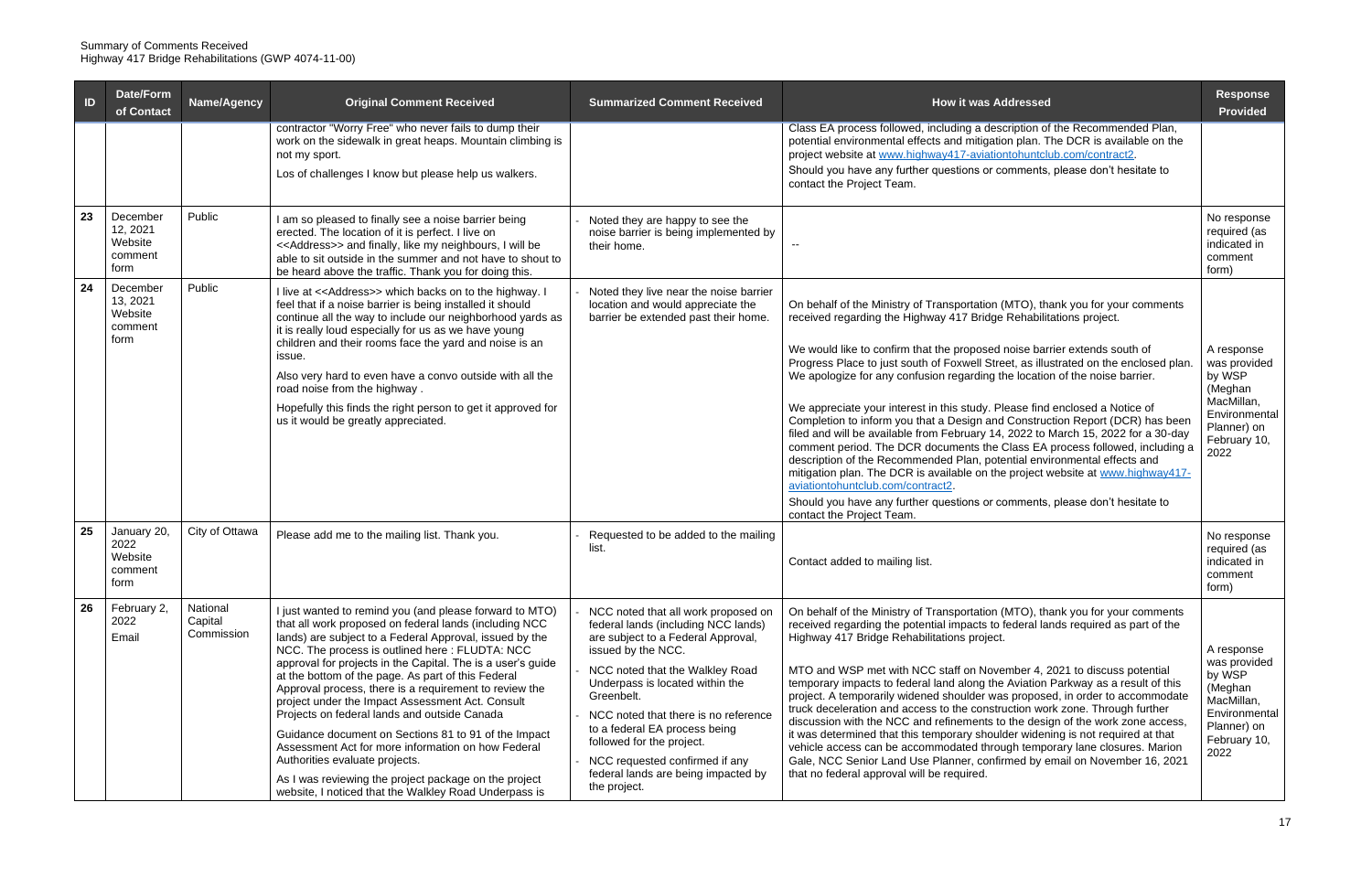| ID | <b>Date/Form</b><br>of Contact                     | <b>Name/Agency</b>                | <b>Original Comment Received</b>                                                                                                                                                                                                                                                                                                                                                                                                                                                                                                                                                                                                                                                                                                                                                  | <b>Summarized Comment Received</b>                                                                                                                                                                                                                                                                                                                                                                                        | <b>How it was Addressed</b>                                                                                                                                                                                                                                                                                                                                                                                                                                                                                                                                                                                                                                                                                                                                                                                                                                                                                                                                                                                                                                   | <b>Response</b><br><b>Provided</b>                                                                                    |
|----|----------------------------------------------------|-----------------------------------|-----------------------------------------------------------------------------------------------------------------------------------------------------------------------------------------------------------------------------------------------------------------------------------------------------------------------------------------------------------------------------------------------------------------------------------------------------------------------------------------------------------------------------------------------------------------------------------------------------------------------------------------------------------------------------------------------------------------------------------------------------------------------------------|---------------------------------------------------------------------------------------------------------------------------------------------------------------------------------------------------------------------------------------------------------------------------------------------------------------------------------------------------------------------------------------------------------------------------|---------------------------------------------------------------------------------------------------------------------------------------------------------------------------------------------------------------------------------------------------------------------------------------------------------------------------------------------------------------------------------------------------------------------------------------------------------------------------------------------------------------------------------------------------------------------------------------------------------------------------------------------------------------------------------------------------------------------------------------------------------------------------------------------------------------------------------------------------------------------------------------------------------------------------------------------------------------------------------------------------------------------------------------------------------------|-----------------------------------------------------------------------------------------------------------------------|
|    |                                                    |                                   | contractor "Worry Free" who never fails to dump their<br>work on the sidewalk in great heaps. Mountain climbing is<br>not my sport.<br>Los of challenges I know but please help us walkers.                                                                                                                                                                                                                                                                                                                                                                                                                                                                                                                                                                                       |                                                                                                                                                                                                                                                                                                                                                                                                                           | Class EA process followed, including a description of the Recommended Plan,<br>potential environmental effects and mitigation plan. The DCR is available on the<br>project website at www.highway417-aviationtohuntclub.com/contract2.<br>Should you have any further questions or comments, please don't hesitate to<br>contact the Project Team.                                                                                                                                                                                                                                                                                                                                                                                                                                                                                                                                                                                                                                                                                                            |                                                                                                                       |
| 23 | December<br>12, 2021<br>Website<br>comment<br>form | Public                            | I am so pleased to finally see a noise barrier being<br>erected. The location of it is perfect. I live on<br><< Address>> and finally, like my neighbours, I will be<br>able to sit outside in the summer and not have to shout to<br>be heard above the traffic. Thank you for doing this.                                                                                                                                                                                                                                                                                                                                                                                                                                                                                       | Noted they are happy to see the<br>noise barrier is being implemented by<br>their home.                                                                                                                                                                                                                                                                                                                                   |                                                                                                                                                                                                                                                                                                                                                                                                                                                                                                                                                                                                                                                                                                                                                                                                                                                                                                                                                                                                                                                               | No response<br>required (as<br>indicated in<br>comment<br>form)                                                       |
| 24 | December<br>13, 2021<br>Website<br>comment<br>form | Public                            | I live at << Address>> which backs on to the highway. I<br>feel that if a noise barrier is being installed it should<br>continue all the way to include our neighborhood yards as<br>it is really loud especially for us as we have young<br>children and their rooms face the yard and noise is an<br>issue.<br>Also very hard to even have a convo outside with all the<br>road noise from the highway.<br>Hopefully this finds the right person to get it approved for<br>us it would be greatly appreciated.                                                                                                                                                                                                                                                                  | Noted they live near the noise barrier<br>location and would appreciate the<br>barrier be extended past their home.                                                                                                                                                                                                                                                                                                       | On behalf of the Ministry of Transportation (MTO), thank you for your comments<br>received regarding the Highway 417 Bridge Rehabilitations project.<br>We would like to confirm that the proposed noise barrier extends south of<br>Progress Place to just south of Foxwell Street, as illustrated on the enclosed plan.<br>We apologize for any confusion regarding the location of the noise barrier.<br>We appreciate your interest in this study. Please find enclosed a Notice of<br>Completion to inform you that a Design and Construction Report (DCR) has been<br>filed and will be available from February 14, 2022 to March 15, 2022 for a 30-day<br>comment period. The DCR documents the Class EA process followed, including a<br>description of the Recommended Plan, potential environmental effects and<br>mitigation plan. The DCR is available on the project website at www.highway417-<br>aviationtohuntclub.com/contract2.<br>Should you have any further questions or comments, please don't hesitate to<br>contact the Project Team. | A response<br>was provided<br>by WSP<br>(Meghan<br>MacMillan,<br>Environmental<br>Planner) on<br>February 10,<br>2022 |
| 25 | January 20,<br>2022<br>Website<br>comment<br>torm  | City of Ottawa                    | Please add me to the mailing list. Thank you.                                                                                                                                                                                                                                                                                                                                                                                                                                                                                                                                                                                                                                                                                                                                     | Requested to be added to the mailing<br>list.                                                                                                                                                                                                                                                                                                                                                                             | Contact added to mailing list.                                                                                                                                                                                                                                                                                                                                                                                                                                                                                                                                                                                                                                                                                                                                                                                                                                                                                                                                                                                                                                | No response<br>required (as<br>indicated in<br>comment<br>form)                                                       |
| 26 | February 2,<br>2022<br>Email                       | National<br>Capital<br>Commission | just wanted to remind you (and please forward to MTO)<br>that all work proposed on federal lands (including NCC<br>lands) are subject to a Federal Approval, issued by the<br>NCC. The process is outlined here: FLUDTA: NCC<br>approval for projects in the Capital. The is a user's guide<br>at the bottom of the page. As part of this Federal<br>Approval process, there is a requirement to review the<br>project under the Impact Assessment Act. Consult<br>Projects on federal lands and outside Canada<br>Guidance document on Sections 81 to 91 of the Impact<br>Assessment Act for more information on how Federal<br>Authorities evaluate projects.<br>As I was reviewing the project package on the project<br>website, I noticed that the Walkley Road Underpass is | NCC noted that all work proposed on<br>federal lands (including NCC lands)<br>are subject to a Federal Approval,<br>issued by the NCC.<br>NCC noted that the Walkley Road<br>Underpass is located within the<br>Greenbelt.<br>NCC noted that there is no reference<br>to a federal EA process being<br>followed for the project.<br>NCC requested confirmed if any<br>federal lands are being impacted by<br>the project. | On behalf of the Ministry of Transportation (MTO), thank you for your comments<br>received regarding the potential impacts to federal lands required as part of the<br>Highway 417 Bridge Rehabilitations project.<br>MTO and WSP met with NCC staff on November 4, 2021 to discuss potential<br>temporary impacts to federal land along the Aviation Parkway as a result of this<br>project. A temporarily widened shoulder was proposed, in order to accommodate<br>truck deceleration and access to the construction work zone. Through further<br>discussion with the NCC and refinements to the design of the work zone access,<br>it was determined that this temporary shoulder widening is not required at that<br>vehicle access can be accommodated through temporary lane closures. Marion<br>Gale, NCC Senior Land Use Planner, confirmed by email on November 16, 2021<br>that no federal approval will be required.                                                                                                                             | A response<br>was provided<br>by WSP<br>(Meghan<br>MacMillan,<br>Environmental<br>Planner) on<br>February 10,<br>2022 |